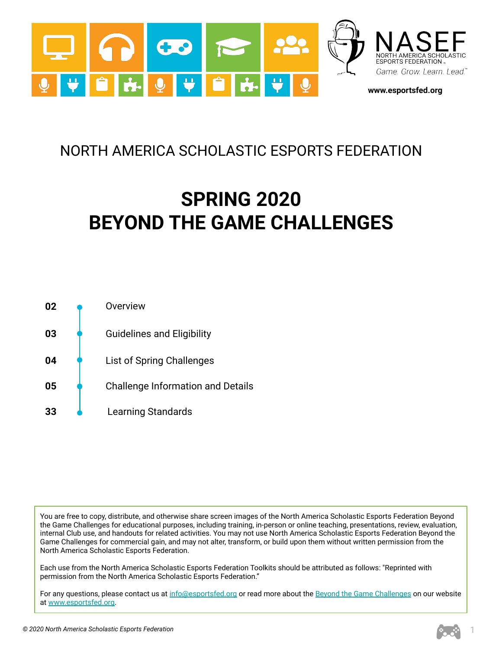

# NORTH AMERICA SCHOLASTIC ESPORTS FEDERATION

# **SPRING 2020 BEYOND THE GAME CHALLENGES**



You are free to copy, distribute, and otherwise share screen images of the North America Scholastic Esports Federation Beyond the Game Challenges for educational purposes, including training, in-person or online teaching, presentations, review, evaluation, internal Club use, and handouts for related activities. You may not use North America Scholastic Esports Federation Beyond the Game Challenges for commercial gain, and may not alter, transform, or build upon them without written permission from the North America Scholastic Esports Federation.

Each use from the North America Scholastic Esports Federation Toolkits should be attributed as follows: "Reprinted with permission from the North America Scholastic Esports Federation."

For any questions, please contact us at [info@esportsfed.org](mailto:info@NASEF.org) or read more about the [Beyond the Game Challenges](https://www.esportsfed.org/clubs/btg-challenges/) on our website at [www.esportsfed.org.](http://www.esportsfed.org)

1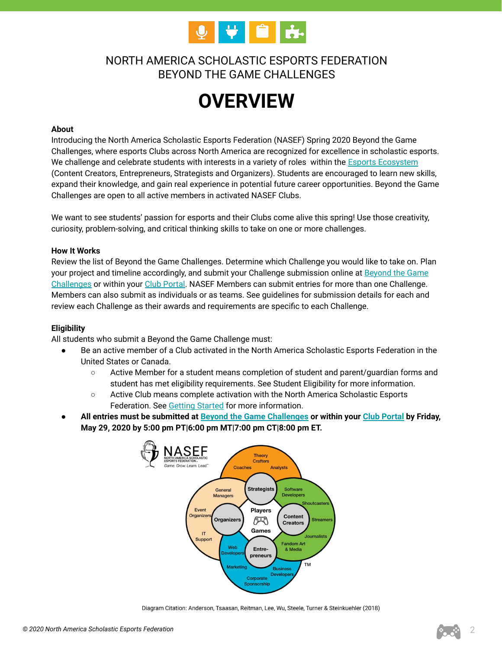

# NORTH AMERICA SCHOLASTIC ESPORTS FEDERATION BEYOND THE GAME CHALLENGES

# **OVERVIEW**

#### **About**

Introducing the North America Scholastic Esports Federation (NASEF) Spring 2020 Beyond the Game Challenges, where esports Clubs across North America are recognized for excellence in scholastic esports. We challenge and celebrate students with interests in a variety of roles within the **[Esports Ecosystem](https://www.esportsfed.org/learning/curriculum/)** (Content Creators, Entrepreneurs, Strategists and Organizers). Students are encouraged to learn new skills, expand their knowledge, and gain real experience in potential future career opportunities. Beyond the Game Challenges are open to all active members in activated NASEF Clubs.

We want to see students' passion for esports and their Clubs come alive this spring! Use those creativity, curiosity, problem-solving, and critical thinking skills to take on one or more challenges.

#### **How It Works**

Review the list of Beyond the Game Challenges. Determine which Challenge you would like to take on. Plan your project and timeline accordingly, and submit your Challenge submission online at **[Beyond the Game](https://www.esportsfed.org/clubs/btg-challenges/)** [Challenges](https://www.esportsfed.org/clubs/btg-challenges/) or within your [Club Portal.](https://clubs.esportsfed.org/account/login) NASEF Members can submit entries for more than one Challenge. Members can also submit as individuals or as teams. See guidelines for submission details for each and review each Challenge as their awards and requirements are specific to each Challenge.

#### **Eligibility**

All students who submit a Beyond the Game Challenge must:

- Be an active member of a Club activated in the North America Scholastic Esports Federation in the United States or Canada.
	- Active Member for a student means completion of student and parent/guardian forms and student has met eligibility requirements. See Student Eligibility for more information.
	- Active Club means complete activation with the North America Scholastic Esports Federation. See [Getting Started](https://www.esportsfed.org/clubs/season-2/) for more information.
- **All entries must be submitted at [Beyond the Game Challenges](https://www.esportsfed.org/clubs/btg-challenges/) or within your [Club Portal](https://clubs.esportsfed.org/account/login) by Friday, May 29, 2020 by 5:00 pm PT|6:00 pm MT|7:00 pm CT|8:00 pm ET.**



Diagram Citation: Anderson, Tsaasan, Reitman, Lee, Wu, Steele, Turner & Steinkuehler (2018)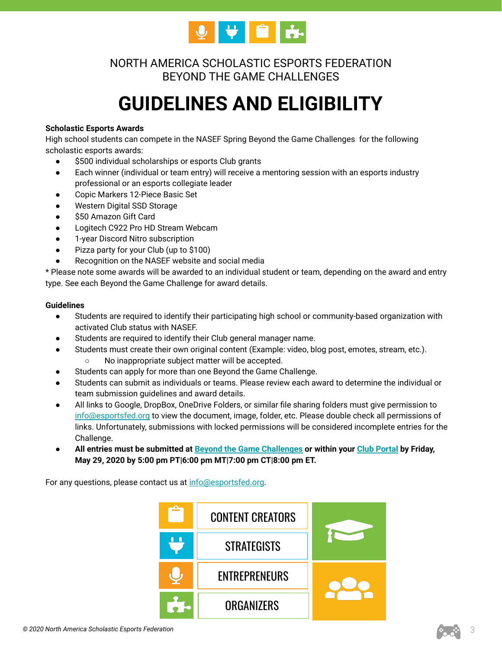

NORTH AMERICA SCHOLASTIC ESPORTS FEDERATION BEYOND THE GAME CHALLENGES

# **GUIDELINES AND ELIGIBILITY**

### **Scholastic Esports Awards**

High school students can compete in the NASEF Spring Beyond the Game Challenges for the following scholastic esports awards:

- \$500 individual scholarships or esports Club grants
- Each winner (individual or team entry) will receive a mentoring session with an esports industry professional or an esports collegiate leader
- Copic Markers 12-Piece Basic Set
- Western Digital SSD Storage
- \$50 Amazon Gift Card
- Logitech C922 Pro HD Stream Webcam
- 1-year Discord Nitro subscription
- Pizza party for your Club (up to \$100)
- Recognition on the NASEF website and social media

\* Please note some awards will be awarded to an individual student or team, depending on the award and entry type. See each Beyond the Game Challenge for award details.

#### **Guidelines**

- Students are required to identify their participating high school or community-based organization with activated Club status with NASEF.
- Students are required to identify their Club general manager name.
- Students must create their own original content (Example: video, blog post, emotes, stream, etc.). ○ No inappropriate subject matter will be accepted.
- Students can apply for more than one Beyond the Game Challenge.
- Students can submit as individuals or teams. Please review each award to determine the individual or team submission guidelines and award details.
- All links to Google, DropBox, OneDrive Folders, or similar file sharing folders must give permission to [info@esportsfed.org](mailto:info@NASEF.org) to view the document, image, folder, etc. Please double check all permissions of links. Unfortunately, submissions with locked permissions will be considered incomplete entries for the Challenge.
- **All entries must be submitted at [Beyond the Game Challenges](https://www.esportsfed.org/clubs/btg-challenges/) or within your [Club Portal](https://clubs.esportsfed.org/account/login) by Friday, May 29, 2020 by 5:00 pm PT|6:00 pm MT|7:00 pm CT|8:00 pm ET.**

For any questions, please contact us at [info@esportsfed.org](mailto:info@NASEF.org).

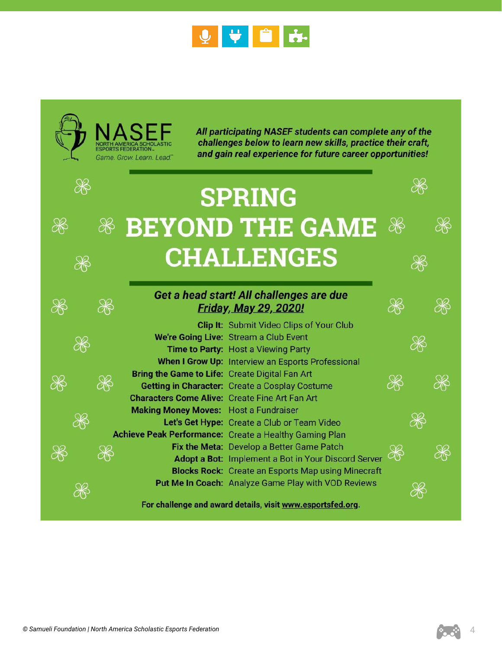

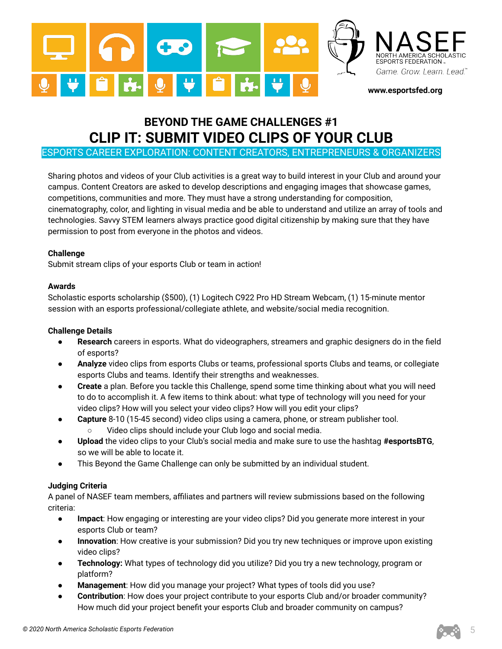

# **BEYOND THE GAME CHALLENGES #1 CLIP IT: SUBMIT VIDEO CLIPS OF YOUR CLUB**

ESPORTS CAREER EXPLORATION: CONTENT CREATORS, ENTREPRENEURS & ORGANIZERS

Sharing photos and videos of your Club activities is a great way to build interest in your Club and around your campus. Content Creators are asked to develop descriptions and engaging images that showcase games, competitions, communities and more. They must have a strong understanding for composition, cinematography, color, and lighting in visual media and be able to understand and utilize an array of tools and technologies. Savvy STEM learners always practice good digital citizenship by making sure that they have permission to post from everyone in the photos and videos.

## **Challenge**

Submit stream clips of your esports Club or team in action!

## **Awards**

Scholastic esports scholarship (\$500), (1) Logitech C922 Pro HD Stream Webcam, (1) 15-minute mentor session with an esports professional/collegiate athlete, and website/social media recognition.

# **Challenge Details**

- Research careers in esports. What do videographers, streamers and graphic designers do in the field of esports?
- **Analyze** video clips from esports Clubs or teams, professional sports Clubs and teams, or collegiate esports Clubs and teams. Identify their strengths and weaknesses.
- **Create** a plan. Before you tackle this Challenge, spend some time thinking about what you will need to do to accomplish it. A few items to think about: what type of technology will you need for your video clips? How will you select your video clips? How will you edit your clips?
- **Capture** 8-10 (15-45 second) video clips using a camera, phone, or stream publisher tool. Video clips should include your Club logo and social media.
- **Upload** the video clips to your Club's social media and make sure to use the hashtag **#esportsBTG**, so we will be able to locate it.
- This Beyond the Game Challenge can only be submitted by an individual student.

# **Judging Criteria**

A panel of NASEF team members, affiliates and partners will review submissions based on the following criteria:

- **Impact**: How engaging or interesting are your video clips? Did you generate more interest in your esports Club or team?
- **Innovation**: How creative is your submission? Did you try new techniques or improve upon existing video clips?
- **Technology:** What types of technology did you utilize? Did you try a new technology, program or platform?
- **Management**: How did you manage your project? What types of tools did you use?
- **Contribution**: How does your project contribute to your esports Club and/or broader community? How much did your project benefit your esports Club and broader community on campus?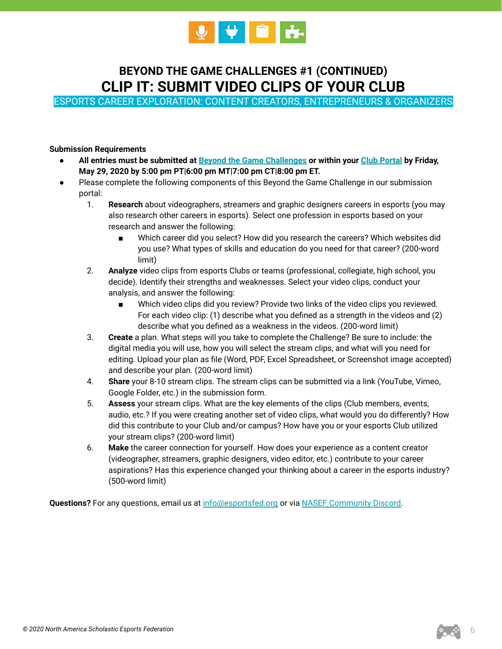

# **BEYOND THE GAME CHALLENGES #1 (CONTINUED) CLIP IT: SUBMIT VIDEO CLIPS OF YOUR CLUB**

ESPORTS CAREER EXPLORATION: CONTENT CREATORS, ENTREPRENEURS & ORGANIZERS

### **Submission Requirements**

- **All entries must be submitted at [Beyond the Game Challenges](https://www.esportsfed.org/clubs/btg-challenges/) or within your [Club Portal](https://clubs.esportsfed.org/account/login) by Friday, May 29, 2020 by 5:00 pm PT|6:00 pm MT|7:00 pm CT|8:00 pm ET.**
- Please complete the following components of this Beyond the Game Challenge in our submission portal:
	- 1. **Research** about videographers, streamers and graphic designers careers in esports (you may also research other careers in esports). Select one profession in esports based on your research and answer the following:
		- Which career did you select? How did you research the careers? Which websites did you use? What types of skills and education do you need for that career? (200-word limit)
	- 2. **Analyze** video clips from esports Clubs or teams (professional, collegiate, high school, you decide). Identify their strengths and weaknesses. Select your video clips, conduct your analysis, and answer the following:
		- Which video clips did you review? Provide two links of the video clips you reviewed. For each video clip: (1) describe what you defined as a strength in the videos and (2) describe what you defined as a weakness in the videos. (200-word limit)
	- 3. **Create** a plan. What steps will you take to complete the Challenge? Be sure to include: the digital media you will use, how you will select the stream clips, and what will you need for editing. Upload your plan as file (Word, PDF, Excel Spreadsheet, or Screenshot image accepted) and describe your plan. (200-word limit)
	- 4. **Share** your 8-10 stream clips. The stream clips can be submitted via a link (YouTube, Vimeo, Google Folder, etc.) in the submission form.
	- 5. **Assess** your stream clips. What are the key elements of the clips (Club members, events, audio, etc.? If you were creating another set of video clips, what would you do differently? How did this contribute to your Club and/or campus? How have you or your esports Club utilized your stream clips? (200-word limit)
	- 6. **Make** the career connection for yourself. How does your experience as a content creator (videographer, streamers, graphic designers, video editor, etc.) contribute to your career aspirations? Has this experience changed your thinking about a career in the esports industry? (500-word limit)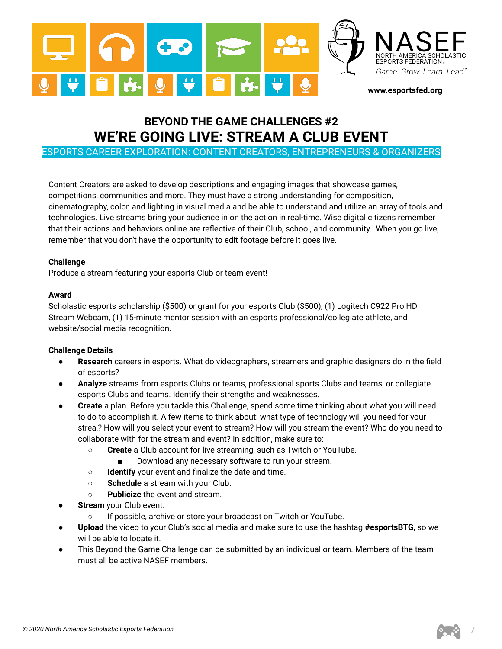

# **BEYOND THE GAME CHALLENGES #2 WE'RE GOING LIVE: STREAM A CLUB EVENT**

ESPORTS CAREER EXPLORATION: CONTENT CREATORS, ENTREPRENEURS & ORGANIZERS

Content Creators are asked to develop descriptions and engaging images that showcase games, competitions, communities and more. They must have a strong understanding for composition, cinematography, color, and lighting in visual media and be able to understand and utilize an array of tools and technologies. Live streams bring your audience in on the action in real-time. Wise digital citizens remember that their actions and behaviors online are reflective of their Club, school, and community. When you go live, remember that you don't have the opportunity to edit footage before it goes live.

## **Challenge**

Produce a stream featuring your esports Club or team event!

## **Award**

Scholastic esports scholarship (\$500) or grant for your esports Club (\$500), (1) Logitech C922 Pro HD Stream Webcam, (1) 15-minute mentor session with an esports professional/collegiate athlete, and website/social media recognition.

- **Research** careers in esports. What do videographers, streamers and graphic designers do in the field of esports?
- **Analyze** streams from esports Clubs or teams, professional sports Clubs and teams, or collegiate esports Clubs and teams. Identify their strengths and weaknesses.
- **Create** a plan. Before you tackle this Challenge, spend some time thinking about what you will need to do to accomplish it. A few items to think about: what type of technology will you need for your strea,? How will you select your event to stream? How will you stream the event? Who do you need to collaborate with for the stream and event? In addition, make sure to:
	- **Create** a Club account for live streaming, such as Twitch or YouTube.
		- Download any necessary software to run your stream.
	- **Identify** your event and finalize the date and time.
	- **Schedule** a stream with your Club.
	- **Publicize** the event and stream.
- **Stream** your Club event.
	- If possible, archive or store your broadcast on Twitch or YouTube.
- **Upload** the video to your Club's social media and make sure to use the hashtag **#esportsBTG**, so we will be able to locate it.
- This Beyond the Game Challenge can be submitted by an individual or team. Members of the team must all be active NASEF members.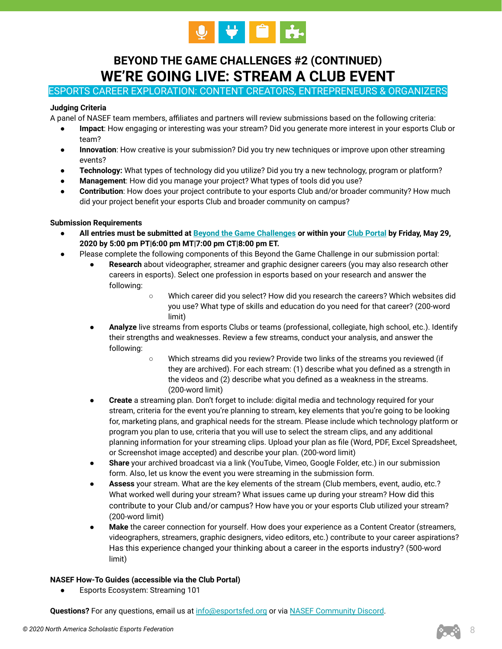

# **BEYOND THE GAME CHALLENGES #2 (CONTINUED) WE'RE GOING LIVE: STREAM A CLUB EVENT**

# ESPORTS CAREER EXPLORATION: CONTENT CREATORS, ENTREPRENEURS & ORGANIZERS

### **Judging Criteria**

A panel of NASEF team members, affiliates and partners will review submissions based on the following criteria:

- **Impact**: How engaging or interesting was your stream? Did you generate more interest in your esports Club or team?
- **Innovation**: How creative is your submission? Did you try new techniques or improve upon other streaming events?
- **Technology:** What types of technology did you utilize? Did you try a new technology, program or platform?
- **Management**: How did you manage your project? What types of tools did you use?
- **Contribution**: How does your project contribute to your esports Club and/or broader community? How much did your project benefit your esports Club and broader community on campus?

#### **Submission Requirements**

- **All entries must be submitted at [Beyond the Game Challenges](https://www.esportsfed.org/clubs/btg-challenges/) or within your [Club Portal](https://clubs.esportsfed.org/account/login) by Friday, May 29, 2020 by 5:00 pm PT|6:00 pm MT|7:00 pm CT|8:00 pm ET.**
- Please complete the following components of this Beyond the Game Challenge in our submission portal:
	- Research about videographer, streamer and graphic designer careers (you may also research other careers in esports). Select one profession in esports based on your research and answer the following:
		- Which career did you select? How did you research the careers? Which websites did you use? What type of skills and education do you need for that career? (200-word limit)
	- **Analyze** live streams from esports Clubs or teams (professional, collegiate, high school, etc.). Identify their strengths and weaknesses. Review a few streams, conduct your analysis, and answer the following:
		- Which streams did you review? Provide two links of the streams you reviewed (if they are archived). For each stream: (1) describe what you defined as a strength in the videos and (2) describe what you defined as a weakness in the streams. (200-word limit)
	- **Create** a streaming plan. Don't forget to include: digital media and technology required for your stream, criteria for the event you're planning to stream, key elements that you're going to be looking for, marketing plans, and graphical needs for the stream. Please include which technology platform or program you plan to use, criteria that you will use to select the stream clips, and any additional planning information for your streaming clips. Upload your plan as file (Word, PDF, Excel Spreadsheet, or Screenshot image accepted) and describe your plan. (200-word limit)
	- **Share** your archived broadcast via a link (YouTube, Vimeo, Google Folder, etc.) in our submission form. Also, let us know the event you were streaming in the submission form.
	- **Assess** your stream. What are the key elements of the stream (Club members, event, audio, etc.? What worked well during your stream? What issues came up during your stream? How did this contribute to your Club and/or campus? How have you or your esports Club utilized your stream? (200-word limit)
	- **Make** the career connection for yourself. How does your experience as a Content Creator (streamers, videographers, streamers, graphic designers, video editors, etc.) contribute to your career aspirations? Has this experience changed your thinking about a career in the esports industry? (500-word limit)

#### **NASEF How-To Guides (accessible via the Club Portal)**

**Esports Ecosystem: Streaming 101** 

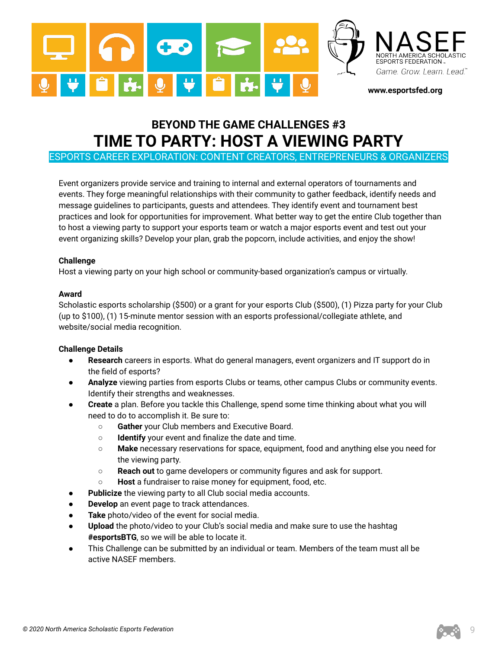

# **BEYOND THE GAME CHALLENGES #3 TIME TO PARTY: HOST A VIEWING PARTY**

ESPORTS CAREER EXPLORATION: CONTENT CREATORS, ENTREPRENEURS & ORGANIZERS

Event organizers provide service and training to internal and external operators of tournaments and events. They forge meaningful relationships with their community to gather feedback, identify needs and message guidelines to participants, guests and attendees. They identify event and tournament best practices and look for opportunities for improvement. What better way to get the entire Club together than to host a viewing party to support your esports team or watch a major esports event and test out your event organizing skills? Develop your plan, grab the popcorn, include activities, and enjoy the show!

#### **Challenge**

Host a viewing party on your high school or community-based organization's campus or virtually.

#### **Award**

Scholastic esports scholarship (\$500) or a grant for your esports Club (\$500), (1) Pizza party for your Club (up to \$100), (1) 15-minute mentor session with an esports professional/collegiate athlete, and website/social media recognition.

- **Research** careers in esports. What do general managers, event organizers and IT support do in the field of esports?
- Analyze viewing parties from esports Clubs or teams, other campus Clubs or community events. Identify their strengths and weaknesses.
- **Create** a plan. Before you tackle this Challenge, spend some time thinking about what you will need to do to accomplish it. Be sure to:
	- **Gather** your Club members and Executive Board.
	- **Identify** your event and finalize the date and time.
	- **Make** necessary reservations for space, equipment, food and anything else you need for the viewing party.
	- **Reach out** to game developers or community figures and ask for support.
	- **Host** a fundraiser to raise money for equipment, food, etc.
- Publicize the viewing party to all Club social media accounts.
- **Develop** an event page to track attendances.
- Take photo/video of the event for social media.
- Upload the photo/video to your Club's social media and make sure to use the hashtag **#esportsBTG**, so we will be able to locate it.
- This Challenge can be submitted by an individual or team. Members of the team must all be active NASEF members.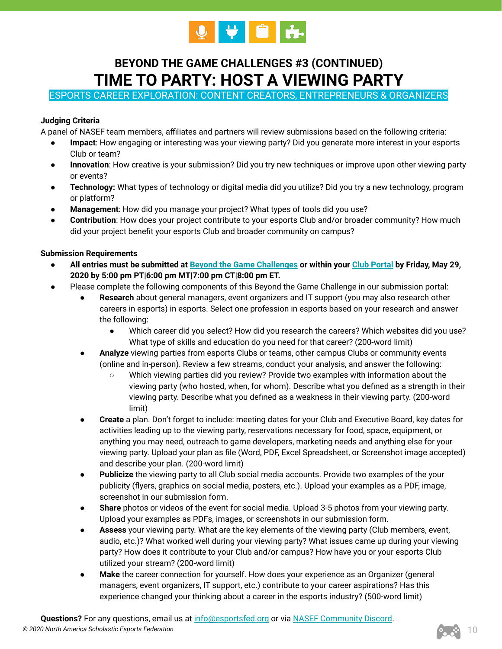

# **BEYOND THE GAME CHALLENGES #3 (CONTINUED) TIME TO PARTY: HOST A VIEWING PARTY**

ESPORTS CAREER EXPLORATION: CONTENT CREATORS, ENTREPRENEURS & ORGANIZERS

# **Judging Criteria**

A panel of NASEF team members, affiliates and partners will review submissions based on the following criteria:

- **Impact**: How engaging or interesting was your viewing party? Did you generate more interest in your esports Club or team?
- **Innovation**: How creative is your submission? Did you try new techniques or improve upon other viewing party or events?
- **Technology:** What types of technology or digital media did you utilize? Did you try a new technology, program or platform?
- **Management**: How did you manage your project? What types of tools did you use?
- **Contribution**: How does your project contribute to your esports Club and/or broader community? How much did your project benefit your esports Club and broader community on campus?

# **Submission Requirements**

- **All entries must be submitted at [Beyond the Game Challenges](https://www.esportsfed.org/clubs/btg-challenges/) or within your [Club Portal](https://clubs.esportsfed.org/account/login) by Friday, May 29, 2020 by 5:00 pm PT|6:00 pm MT|7:00 pm CT|8:00 pm ET.**
- Please complete the following components of this Beyond the Game Challenge in our submission portal:
	- **Research** about general managers, event organizers and IT support (you may also research other careers in esports) in esports. Select one profession in esports based on your research and answer the following:
		- Which career did you select? How did you research the careers? Which websites did you use? What type of skills and education do you need for that career? (200-word limit)
	- Analyze viewing parties from esports Clubs or teams, other campus Clubs or community events (online and in-person). Review a few streams, conduct your analysis, and answer the following:
		- Which viewing parties did you review? Provide two examples with information about the viewing party (who hosted, when, for whom). Describe what you defined as a strength in their viewing party. Describe what you defined as a weakness in their viewing party. (200-word limit)
	- **Create** a plan. Don't forget to include: meeting dates for your Club and Executive Board, key dates for activities leading up to the viewing party, reservations necessary for food, space, equipment, or anything you may need, outreach to game developers, marketing needs and anything else for your viewing party. Upload your plan as file (Word, PDF, Excel Spreadsheet, or Screenshot image accepted) and describe your plan. (200-word limit)
	- **Publicize** the viewing party to all Club social media accounts. Provide two examples of the your publicity (flyers, graphics on social media, posters, etc.). Upload your examples as a PDF, image, screenshot in our submission form.
	- **Share** photos or videos of the event for social media. Upload 3-5 photos from your viewing party. Upload your examples as PDFs, images, or screenshots in our submission form.
	- Assess your viewing party. What are the key elements of the viewing party (Club members, event, audio, etc.)? What worked well during your viewing party? What issues came up during your viewing party? How does it contribute to your Club and/or campus? How have you or your esports Club utilized your stream? (200-word limit)
	- **Make** the career connection for yourself. How does your experience as an Organizer (general managers, event organizers, IT support, etc.) contribute to your career aspirations? Has this experience changed your thinking about a career in the esports industry? (500-word limit)

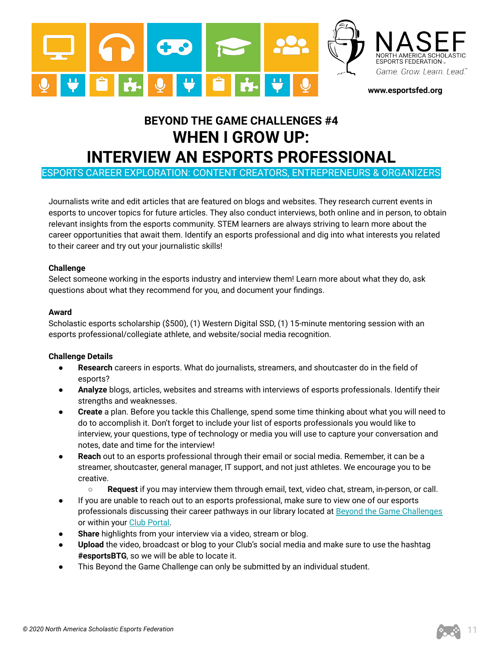

# **BEYOND THE GAME CHALLENGES #4 WHEN I GROW UP: INTERVIEW AN ESPORTS PROFESSIONAL**

ESPORTS CAREER EXPLORATION: CONTENT CREATORS, ENTREPRENEURS & ORGANIZERS

Journalists write and edit articles that are featured on blogs and websites. They research current events in esports to uncover topics for future articles. They also conduct interviews, both online and in person, to obtain relevant insights from the esports community. STEM learners are always striving to learn more about the career opportunities that await them. Identify an esports professional and dig into what interests you related to their career and try out your journalistic skills!

#### **Challenge**

Select someone working in the esports industry and interview them! Learn more about what they do, ask questions about what they recommend for you, and document your findings.

#### **Award**

Scholastic esports scholarship (\$500), (1) Western Digital SSD, (1) 15-minute mentoring session with an esports professional/collegiate athlete, and website/social media recognition.

- Research careers in esports. What do journalists, streamers, and shoutcaster do in the field of esports?
- **Analyze** blogs, articles, websites and streams with interviews of esports professionals. Identify their strengths and weaknesses.
- **Create** a plan. Before you tackle this Challenge, spend some time thinking about what you will need to do to accomplish it. Don't forget to include your list of esports professionals you would like to interview, your questions, type of technology or media you will use to capture your conversation and notes, date and time for the interview!
- **Reach** out to an esports professional through their email or social media. Remember, it can be a streamer, shoutcaster, general manager, IT support, and not just athletes. We encourage you to be creative.
	- **Request** if you may interview them through email, text, video chat, stream, in-person, or call.
- If you are unable to reach out to an esports professional, make sure to view one of our esports professionals discussing their career pathways in our library located at [Beyond the Game Challenges](https://www.esportsfed.org/clubs/btg-challenges/) or within your [Club Portal.](https://clubs.esportsfed.org/account/login)
- **Share** highlights from your interview via a video, stream or blog.
- Upload the video, broadcast or blog to your Club's social media and make sure to use the hashtag **#esportsBTG**, so we will be able to locate it.
- This Beyond the Game Challenge can only be submitted by an individual student.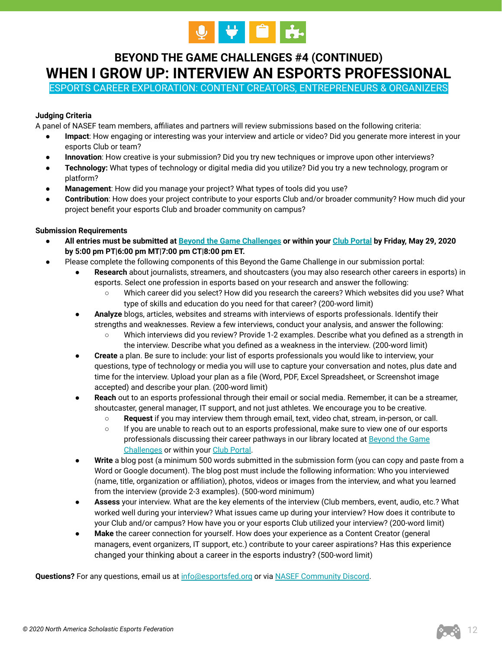

# **BEYOND THE GAME CHALLENGES #4 (CONTINUED) WHEN I GROW UP: INTERVIEW AN ESPORTS PROFESSIONAL**

ESPORTS CAREER EXPLORATION: CONTENT CREATORS, ENTREPRENEURS & ORGANIZERS

# **Judging Criteria**

A panel of NASEF team members, affiliates and partners will review submissions based on the following criteria:

- **Impact**: How engaging or interesting was your interview and article or video? Did you generate more interest in your esports Club or team?
- **Innovation**: How creative is your submission? Did you try new techniques or improve upon other interviews?
- **Technology:** What types of technology or digital media did you utilize? Did you try a new technology, program or platform?
- **Management**: How did you manage your project? What types of tools did you use?
- **Contribution**: How does your project contribute to your esports Club and/or broader community? How much did your project benefit your esports Club and broader community on campus?

#### **Submission Requirements**

- **All entries must be submitted at [Beyond the Game Challenges](https://www.esportsfed.org/clubs/btg-challenges/) or within your [Club Portal](https://clubs.esportsfed.org/account/login) by Friday, May 29, 2020 by 5:00 pm PT|6:00 pm MT|7:00 pm CT|8:00 pm ET.**
- Please complete the following components of this Beyond the Game Challenge in our submission portal:
	- Research about journalists, streamers, and shoutcasters (you may also research other careers in esports) in esports. Select one profession in esports based on your research and answer the following:
		- Which career did you select? How did you research the careers? Which websites did you use? What type of skills and education do you need for that career? (200-word limit)
	- **Analyze** blogs, articles, websites and streams with interviews of esports professionals. Identify their strengths and weaknesses. Review a few interviews, conduct your analysis, and answer the following:
		- Which interviews did you review? Provide 1-2 examples. Describe what you defined as a strength in the interview. Describe what you defined as a weakness in the interview. (200-word limit)
	- **Create** a plan. Be sure to include: your list of esports professionals you would like to interview, your questions, type of technology or media you will use to capture your conversation and notes, plus date and time for the interview. Upload your plan as a file (Word, PDF, Excel Spreadsheet, or Screenshot image accepted) and describe your plan. (200-word limit)
	- **Reach** out to an esports professional through their email or social media. Remember, it can be a streamer, shoutcaster, general manager, IT support, and not just athletes. We encourage you to be creative.
		- **Request** if you may interview them through email, text, video chat, stream, in-person, or call.
		- If you are unable to reach out to an esports professional, make sure to view one of our esports professionals discussing their career pathways in our library located at [Beyond the Game](https://www.esportsfed.org/clubs/btg-challenges/) [Challenges](https://www.esportsfed.org/clubs/btg-challenges/) or within your [Club Portal](https://clubs.esportsfed.org/account/login).
	- **Write** a blog post (a minimum 500 words submitted in the submission form (you can copy and paste from a Word or Google document). The blog post must include the following information: Who you interviewed (name, title, organization or affiliation), photos, videos or images from the interview, and what you learned from the interview (provide 2-3 examples). (500-word minimum)
	- **Assess** your interview. What are the key elements of the interview (Club members, event, audio, etc.? What worked well during your interview? What issues came up during your interview? How does it contribute to your Club and/or campus? How have you or your esports Club utilized your interview? (200-word limit)
	- **Make** the career connection for yourself. How does your experience as a Content Creator (general managers, event organizers, IT support, etc.) contribute to your career aspirations? Has this experience changed your thinking about a career in the esports industry? (500-word limit)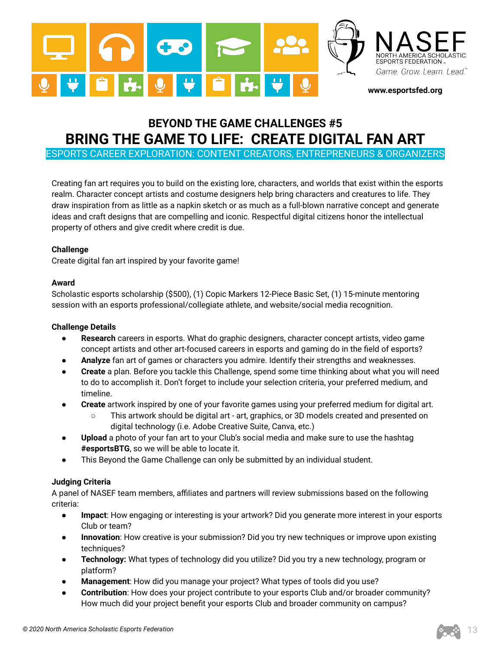

# **BEYOND THE GAME CHALLENGES #5 BRING THE GAME TO LIFE: CREATE DIGITAL FAN ART**

ESPORTS CAREER EXPLORATION: CONTENT CREATORS, ENTREPRENEURS & ORGANIZERS

Creating fan art requires you to build on the existing lore, characters, and worlds that exist within the esports realm. Character concept artists and costume designers help bring characters and creatures to life. They draw inspiration from as little as a napkin sketch or as much as a full-blown narrative concept and generate ideas and craft designs that are compelling and iconic. Respectful digital citizens honor the intellectual property of others and give credit where credit is due.

## **Challenge**

Create digital fan art inspired by your favorite game!

#### **Award**

Scholastic esports scholarship (\$500), (1) Copic Markers 12-Piece Basic Set, (1) 15-minute mentoring session with an esports professional/collegiate athlete, and website/social media recognition.

#### **Challenge Details**

- **Research** careers in esports. What do graphic designers, character concept artists, video game concept artists and other art-focused careers in esports and gaming do in the field of esports?
- **Analyze** fan art of games or characters you admire. Identify their strengths and weaknesses.
- **Create** a plan. Before you tackle this Challenge, spend some time thinking about what you will need to do to accomplish it. Don't forget to include your selection criteria, your preferred medium, and timeline.
- **Create** artwork inspired by one of your favorite games using your preferred medium for digital art.
	- This artwork should be digital art art, graphics, or 3D models created and presented on digital technology (i.e. Adobe Creative Suite, Canva, etc.)
- **Upload** a photo of your fan art to your Club's social media and make sure to use the hashtag **#esportsBTG**, so we will be able to locate it.
- This Beyond the Game Challenge can only be submitted by an individual student.

## **Judging Criteria**

A panel of NASEF team members, affiliates and partners will review submissions based on the following criteria:

- **Impact**: How engaging or interesting is your artwork? Did you generate more interest in your esports Club or team?
- **Innovation**: How creative is your submission? Did you try new techniques or improve upon existing techniques?
- **Technology:** What types of technology did you utilize? Did you try a new technology, program or platform?
- **Management**: How did you manage your project? What types of tools did you use?
- **Contribution**: How does your project contribute to your esports Club and/or broader community? How much did your project benefit your esports Club and broader community on campus?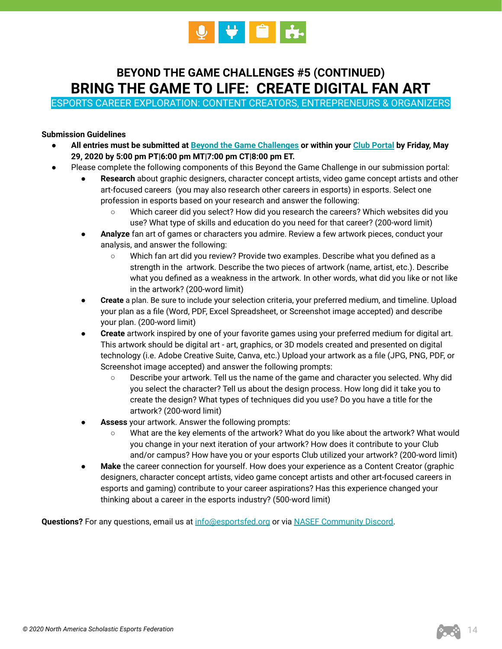

# **BEYOND THE GAME CHALLENGES #5 (CONTINUED) BRING THE GAME TO LIFE: CREATE DIGITAL FAN ART**

ESPORTS CAREER EXPLORATION: CONTENT CREATORS, ENTREPRENEURS & ORGANIZERS

### **Submission Guidelines**

- **All entries must be submitted at [Beyond the Game Challenges](https://www.esportsfed.org/clubs/btg-challenges/) or within your [Club Portal](https://clubs.esportsfed.org/account/login) by Friday, May 29, 2020 by 5:00 pm PT|6:00 pm MT|7:00 pm CT|8:00 pm ET.**
- Please complete the following components of this Beyond the Game Challenge in our submission portal:
	- Research about graphic designers, character concept artists, video game concept artists and other art-focused careers (you may also research other careers in esports) in esports. Select one profession in esports based on your research and answer the following:
		- Which career did you select? How did you research the careers? Which websites did you use? What type of skills and education do you need for that career? (200-word limit)
	- **Analyze** fan art of games or characters you admire. Review a few artwork pieces, conduct your analysis, and answer the following:
		- Which fan art did you review? Provide two examples. Describe what you defined as a strength in the artwork. Describe the two pieces of artwork (name, artist, etc.). Describe what you defined as a weakness in the artwork. In other words, what did you like or not like in the artwork? (200-word limit)
	- **Create** a plan. Be sure to include your selection criteria, your preferred medium, and timeline. Upload your plan as a file (Word, PDF, Excel Spreadsheet, or Screenshot image accepted) and describe your plan. (200-word limit)
	- **Create** artwork inspired by one of your favorite games using your preferred medium for digital art. This artwork should be digital art - art, graphics, or 3D models created and presented on digital technology (i.e. Adobe Creative Suite, Canva, etc.) Upload your artwork as a file (JPG, PNG, PDF, or Screenshot image accepted) and answer the following prompts:
		- Describe your artwork. Tell us the name of the game and character you selected. Why did you select the character? Tell us about the design process. How long did it take you to create the design? What types of techniques did you use? Do you have a title for the artwork? (200-word limit)
	- Assess your artwork. Answer the following prompts:
		- What are the key elements of the artwork? What do you like about the artwork? What would you change in your next iteration of your artwork? How does it contribute to your Club and/or campus? How have you or your esports Club utilized your artwork? (200-word limit)
	- **Make** the career connection for yourself. How does your experience as a Content Creator (graphic designers, character concept artists, video game concept artists and other art-focused careers in esports and gaming) contribute to your career aspirations? Has this experience changed your thinking about a career in the esports industry? (500-word limit)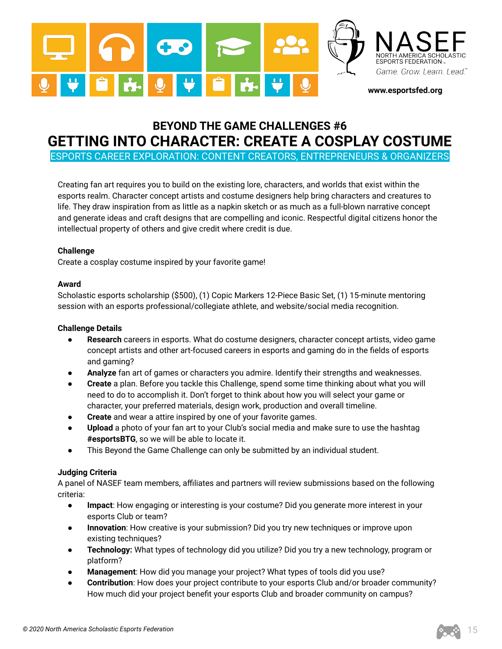

# **BEYOND THE GAME CHALLENGES #6 GETTING INTO CHARACTER: CREATE A COSPLAY COSTUME**

ESPORTS CAREER EXPLORATION: CONTENT CREATORS, ENTREPRENEURS & ORGANIZERS

Creating fan art requires you to build on the existing lore, characters, and worlds that exist within the esports realm. Character concept artists and costume designers help bring characters and creatures to life. They draw inspiration from as little as a napkin sketch or as much as a full-blown narrative concept and generate ideas and craft designs that are compelling and iconic. Respectful digital citizens honor the intellectual property of others and give credit where credit is due.

## **Challenge**

Create a cosplay costume inspired by your favorite game!

#### **Award**

Scholastic esports scholarship (\$500), (1) Copic Markers 12-Piece Basic Set, (1) 15-minute mentoring session with an esports professional/collegiate athlete, and website/social media recognition.

#### **Challenge Details**

- **Research** careers in esports. What do costume designers, character concept artists, video game concept artists and other art-focused careers in esports and gaming do in the fields of esports and gaming?
- Analyze fan art of games or characters you admire. Identify their strengths and weaknesses.
- **Create** a plan. Before you tackle this Challenge, spend some time thinking about what you will need to do to accomplish it. Don't forget to think about how you will select your game or character, your preferred materials, design work, production and overall timeline.
- **Create** and wear a attire inspired by one of your favorite games.
- Upload a photo of your fan art to your Club's social media and make sure to use the hashtag **#esportsBTG**, so we will be able to locate it.
- This Beyond the Game Challenge can only be submitted by an individual student.

## **Judging Criteria**

A panel of NASEF team members, affiliates and partners will review submissions based on the following criteria:

- **Impact**: How engaging or interesting is your costume? Did you generate more interest in your esports Club or team?
- **Innovation**: How creative is your submission? Did you try new techniques or improve upon existing techniques?
- **Technology:** What types of technology did you utilize? Did you try a new technology, program or platform?
- Management: How did you manage your project? What types of tools did you use?
- **Contribution**: How does your project contribute to your esports Club and/or broader community? How much did your project benefit your esports Club and broader community on campus?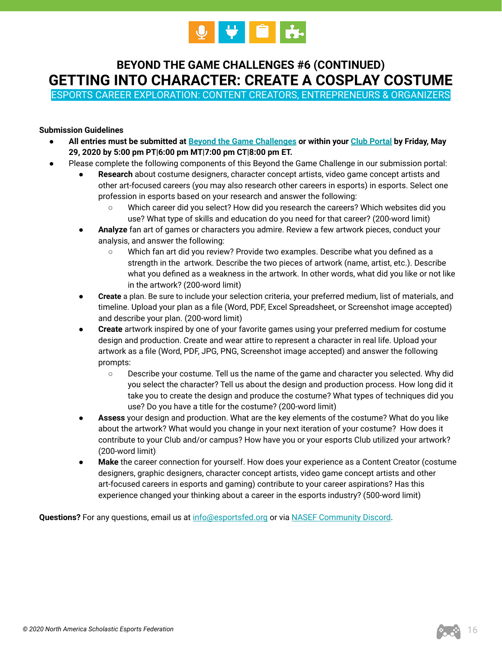

# **BEYOND THE GAME CHALLENGES #6 (CONTINUED) GETTING INTO CHARACTER: CREATE A COSPLAY COSTUME**

ESPORTS CAREER EXPLORATION: CONTENT CREATORS, ENTREPRENEURS & ORGANIZERS

# **Submission Guidelines**

- **All entries must be submitted at [Beyond the Game Challenges](https://www.esportsfed.org/clubs/btg-challenges/) or within your [Club Portal](https://clubs.esportsfed.org/account/login) by Friday, May 29, 2020 by 5:00 pm PT|6:00 pm MT|7:00 pm CT|8:00 pm ET.**
- Please complete the following components of this Beyond the Game Challenge in our submission portal:
	- **Research** about costume designers, character concept artists, video game concept artists and other art-focused careers (you may also research other careers in esports) in esports. Select one profession in esports based on your research and answer the following:
		- Which career did you select? How did you research the careers? Which websites did you use? What type of skills and education do you need for that career? (200-word limit)
	- **Analyze** fan art of games or characters you admire. Review a few artwork pieces, conduct your analysis, and answer the following:
		- Which fan art did you review? Provide two examples. Describe what you defined as a strength in the artwork. Describe the two pieces of artwork (name, artist, etc.). Describe what you defined as a weakness in the artwork. In other words, what did you like or not like in the artwork? (200-word limit)
	- **Create** a plan. Be sure to include your selection criteria, your preferred medium, list of materials, and timeline. Upload your plan as a file (Word, PDF, Excel Spreadsheet, or Screenshot image accepted) and describe your plan. (200-word limit)
	- **Create** artwork inspired by one of your favorite games using your preferred medium for costume design and production. Create and wear attire to represent a character in real life. Upload your artwork as a file (Word, PDF, JPG, PNG, Screenshot image accepted) and answer the following prompts:
		- Describe your costume. Tell us the name of the game and character you selected. Why did you select the character? Tell us about the design and production process. How long did it take you to create the design and produce the costume? What types of techniques did you use? Do you have a title for the costume? (200-word limit)
	- Assess your design and production. What are the key elements of the costume? What do you like about the artwork? What would you change in your next iteration of your costume? How does it contribute to your Club and/or campus? How have you or your esports Club utilized your artwork? (200-word limit)
	- **Make** the career connection for yourself. How does your experience as a Content Creator (costume designers, graphic designers, character concept artists, video game concept artists and other art-focused careers in esports and gaming) contribute to your career aspirations? Has this experience changed your thinking about a career in the esports industry? (500-word limit)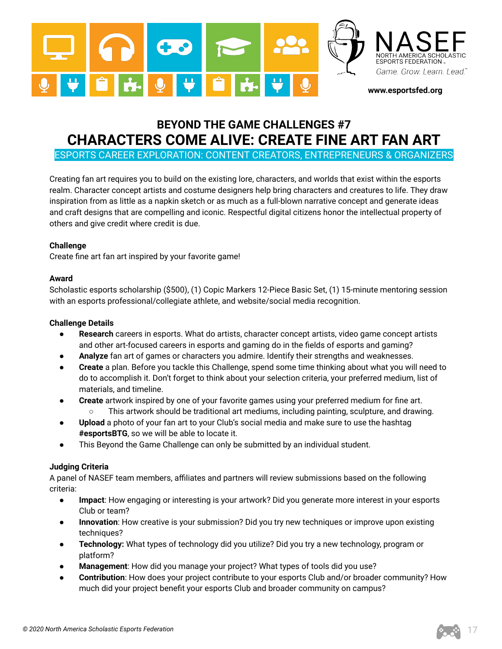

# **BEYOND THE GAME CHALLENGES #7 CHARACTERS COME ALIVE: CREATE FINE ART FAN ART**

ESPORTS CAREER EXPLORATION: CONTENT CREATORS, ENTREPRENEURS & ORGANIZERS

Creating fan art requires you to build on the existing lore, characters, and worlds that exist within the esports realm. Character concept artists and costume designers help bring characters and creatures to life. They draw inspiration from as little as a napkin sketch or as much as a full-blown narrative concept and generate ideas and craft designs that are compelling and iconic. Respectful digital citizens honor the intellectual property of others and give credit where credit is due.

#### **Challenge**

Create fine art fan art inspired by your favorite game!

#### **Award**

Scholastic esports scholarship (\$500), (1) Copic Markers 12-Piece Basic Set, (1) 15-minute mentoring session with an esports professional/collegiate athlete, and website/social media recognition.

#### **Challenge Details**

- **Research** careers in esports. What do artists, character concept artists, video game concept artists and other art-focused careers in esports and gaming do in the fields of esports and gaming?
- **Analyze** fan art of games or characters you admire. Identify their strengths and weaknesses.
- **Create** a plan. Before you tackle this Challenge, spend some time thinking about what you will need to do to accomplish it. Don't forget to think about your selection criteria, your preferred medium, list of materials, and timeline.
- **Create** artwork inspired by one of your favorite games using your preferred medium for fine art. ○ This artwork should be traditional art mediums, including painting, sculpture, and drawing.
- **•** Upload a photo of your fan art to your Club's social media and make sure to use the hashtag **#esportsBTG**, so we will be able to locate it.
- This Beyond the Game Challenge can only be submitted by an individual student.

#### **Judging Criteria**

A panel of NASEF team members, affiliates and partners will review submissions based on the following criteria:

- **Impact**: How engaging or interesting is your artwork? Did you generate more interest in your esports Club or team?
- **Innovation**: How creative is your submission? Did you try new techniques or improve upon existing techniques?
- **Technology:** What types of technology did you utilize? Did you try a new technology, program or platform?
- **Management**: How did you manage your project? What types of tools did you use?
- Contribution: How does your project contribute to your esports Club and/or broader community? How much did your project benefit your esports Club and broader community on campus?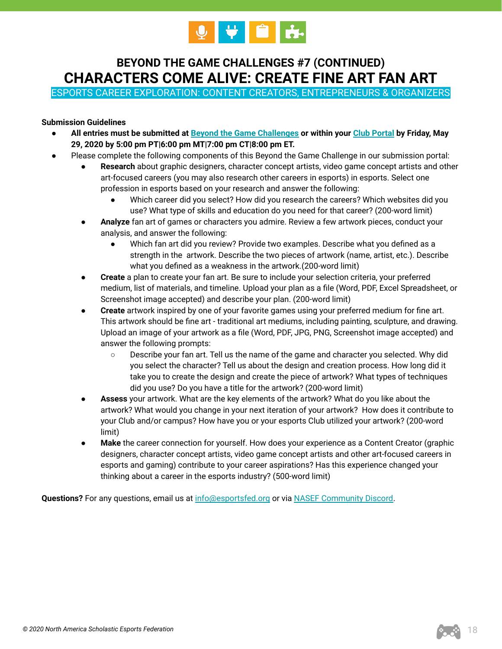

# **BEYOND THE GAME CHALLENGES #7 (CONTINUED) CHARACTERS COME ALIVE: CREATE FINE ART FAN ART**

ESPORTS CAREER EXPLORATION: CONTENT CREATORS, ENTREPRENEURS & ORGANIZERS

## **Submission Guidelines**

- **All entries must be submitted at [Beyond the Game Challenges](https://www.esportsfed.org/clubs/btg-challenges/) or within your [Club Portal](https://clubs.esportsfed.org/account/login) by Friday, May 29, 2020 by 5:00 pm PT|6:00 pm MT|7:00 pm CT|8:00 pm ET.**
- Please complete the following components of this Beyond the Game Challenge in our submission portal:
	- Research about graphic designers, character concept artists, video game concept artists and other art-focused careers (you may also research other careers in esports) in esports. Select one profession in esports based on your research and answer the following:
		- Which career did you select? How did you research the careers? Which websites did you use? What type of skills and education do you need for that career? (200-word limit)
	- **Analyze** fan art of games or characters you admire. Review a few artwork pieces, conduct your analysis, and answer the following:
		- Which fan art did you review? Provide two examples. Describe what you defined as a strength in the artwork. Describe the two pieces of artwork (name, artist, etc.). Describe what you defined as a weakness in the artwork.(200-word limit)
	- **Create** a plan to create your fan art. Be sure to include your selection criteria, your preferred medium, list of materials, and timeline. Upload your plan as a file (Word, PDF, Excel Spreadsheet, or Screenshot image accepted) and describe your plan. (200-word limit)
	- **Create** artwork inspired by one of your favorite games using your preferred medium for fine art. This artwork should be fine art - traditional art mediums, including painting, sculpture, and drawing. Upload an image of your artwork as a file (Word, PDF, JPG, PNG, Screenshot image accepted) and answer the following prompts:
		- Describe your fan art. Tell us the name of the game and character you selected. Why did you select the character? Tell us about the design and creation process. How long did it take you to create the design and create the piece of artwork? What types of techniques did you use? Do you have a title for the artwork? (200-word limit)
	- Assess your artwork. What are the key elements of the artwork? What do you like about the artwork? What would you change in your next iteration of your artwork? How does it contribute to your Club and/or campus? How have you or your esports Club utilized your artwork? (200-word limit)
	- **Make** the career connection for yourself. How does your experience as a Content Creator (graphic designers, character concept artists, video game concept artists and other art-focused careers in esports and gaming) contribute to your career aspirations? Has this experience changed your thinking about a career in the esports industry? (500-word limit)

Questions? For any questions, email us at [info@esportsfed.org](mailto:info@esportsfed.org) or via **[NASEF Community Discord.](https://discordapp.com/invite/uyqkA2d)**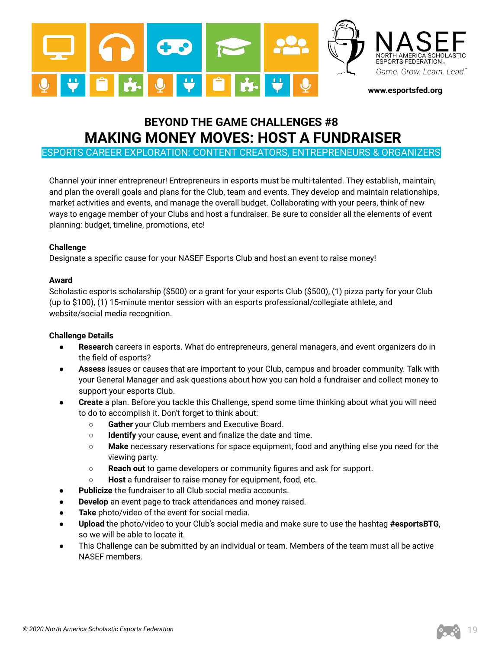

# **BEYOND THE GAME CHALLENGES #8 MAKING MONEY MOVES: HOST A FUNDRAISER**

ESPORTS CAREER EXPLORATION: CONTENT CREATORS, ENTREPRENEURS & ORGANIZERS

Channel your inner entrepreneur! Entrepreneurs in esports must be multi-talented. They establish, maintain, and plan the overall goals and plans for the Club, team and events. They develop and maintain relationships, market activities and events, and manage the overall budget. Collaborating with your peers, think of new ways to engage member of your Clubs and host a fundraiser. Be sure to consider all the elements of event planning: budget, timeline, promotions, etc!

#### **Challenge**

Designate a specific cause for your NASEF Esports Club and host an event to raise money!

#### **Award**

Scholastic esports scholarship (\$500) or a grant for your esports Club (\$500), (1) pizza party for your Club (up to \$100), (1) 15-minute mentor session with an esports professional/collegiate athlete, and website/social media recognition.

- **Research** careers in esports. What do entrepreneurs, general managers, and event organizers do in the field of esports?
- **Assess** issues or causes that are important to your Club, campus and broader community. Talk with your General Manager and ask questions about how you can hold a fundraiser and collect money to support your esports Club.
- **Create** a plan. Before you tackle this Challenge, spend some time thinking about what you will need to do to accomplish it. Don't forget to think about:
	- **Gather** your Club members and Executive Board.
	- **Identify** your cause, event and finalize the date and time.
	- **Make** necessary reservations for space equipment, food and anything else you need for the viewing party.
	- **Reach out** to game developers or community figures and ask for support.
	- **Host** a fundraiser to raise money for equipment, food, etc.
- **Publicize** the fundraiser to all Club social media accounts.
- **Develop** an event page to track attendances and money raised.
- Take photo/video of the event for social media.
- **Upload** the photo/video to your Club's social media and make sure to use the hashtag #esportsBTG, so we will be able to locate it.
- This Challenge can be submitted by an individual or team. Members of the team must all be active NASEF members.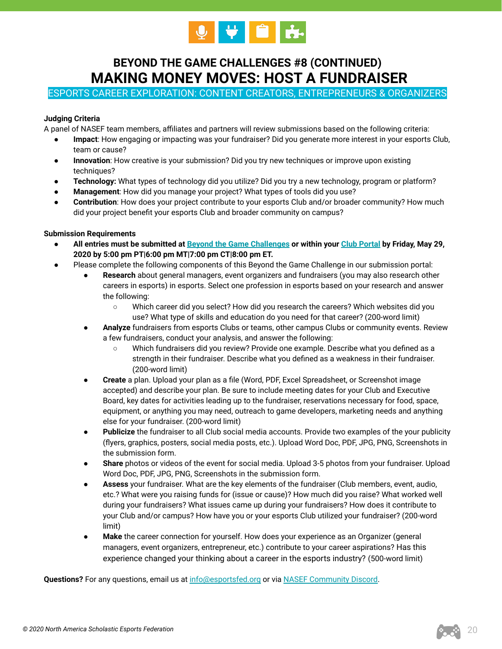

# **BEYOND THE GAME CHALLENGES #8 (CONTINUED) MAKING MONEY MOVES: HOST A FUNDRAISER**

ESPORTS CAREER EXPLORATION: CONTENT CREATORS, ENTREPRENEURS & ORGANIZERS

#### **Judging Criteria**

A panel of NASEF team members, affiliates and partners will review submissions based on the following criteria:

- **Impact**: How engaging or impacting was your fundraiser? Did you generate more interest in your esports Club, team or cause?
- **Innovation**: How creative is your submission? Did you try new techniques or improve upon existing techniques?
- **Technology:** What types of technology did you utilize? Did you try a new technology, program or platform?
- **Management**: How did you manage your project? What types of tools did you use?
- **Contribution**: How does your project contribute to your esports Club and/or broader community? How much did your project benefit your esports Club and broader community on campus?

#### **Submission Requirements**

- **All entries must be submitted at [Beyond the Game Challenges](https://www.esportsfed.org/clubs/btg-challenges/) or within your [Club Portal](https://clubs.esportsfed.org/account/login) by Friday, May 29, 2020 by 5:00 pm PT|6:00 pm MT|7:00 pm CT|8:00 pm ET.**
- Please complete the following components of this Beyond the Game Challenge in our submission portal:
	- Research about general managers, event organizers and fundraisers (you may also research other careers in esports) in esports. Select one profession in esports based on your research and answer the following:
		- Which career did you select? How did you research the careers? Which websites did you use? What type of skills and education do you need for that career? (200-word limit)
	- **Analyze** fundraisers from esports Clubs or teams, other campus Clubs or community events. Review a few fundraisers, conduct your analysis, and answer the following:
		- Which fundraisers did you review? Provide one example. Describe what you defined as a strength in their fundraiser. Describe what you defined as a weakness in their fundraiser. (200-word limit)
	- **Create** a plan. Upload your plan as a file (Word, PDF, Excel Spreadsheet, or Screenshot image accepted) and describe your plan. Be sure to include meeting dates for your Club and Executive Board, key dates for activities leading up to the fundraiser, reservations necessary for food, space, equipment, or anything you may need, outreach to game developers, marketing needs and anything else for your fundraiser. (200-word limit)
	- **Publicize** the fundraiser to all Club social media accounts. Provide two examples of the your publicity (flyers, graphics, posters, social media posts, etc.). Upload Word Doc, PDF, JPG, PNG, Screenshots in the submission form.
	- **Share** photos or videos of the event for social media. Upload 3-5 photos from your fundraiser. Upload Word Doc, PDF, JPG, PNG, Screenshots in the submission form.
	- Assess your fundraiser. What are the key elements of the fundraiser (Club members, event, audio, etc.? What were you raising funds for (issue or cause)? How much did you raise? What worked well during your fundraisers? What issues came up during your fundraisers? How does it contribute to your Club and/or campus? How have you or your esports Club utilized your fundraiser? (200-word limit)
	- **Make** the career connection for yourself. How does your experience as an Organizer (general managers, event organizers, entrepreneur, etc.) contribute to your career aspirations? Has this experience changed your thinking about a career in the esports industry? (500-word limit)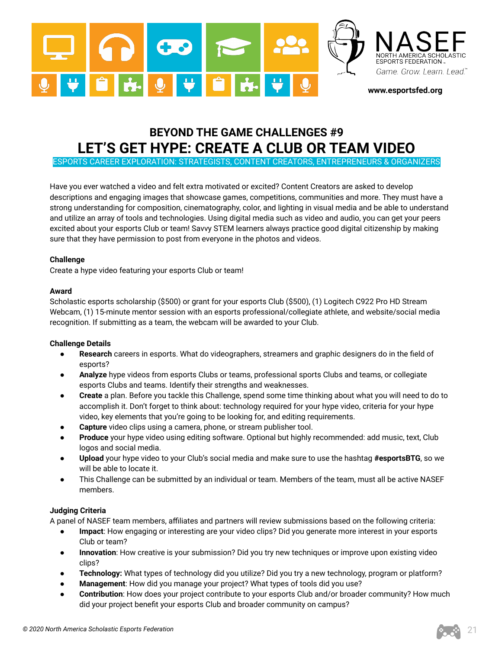

# **BEYOND THE GAME CHALLENGES #9 LET'S GET HYPE: CREATE A CLUB OR TEAM VIDEO**

ESPORTS CAREER EXPLORATION: STRATEGISTS, CONTENT CREATORS, ENTREPRENEURS & ORGANIZERS

Have you ever watched a video and felt extra motivated or excited? Content Creators are asked to develop descriptions and engaging images that showcase games, competitions, communities and more. They must have a strong understanding for composition, cinematography, color, and lighting in visual media and be able to understand and utilize an array of tools and technologies. Using digital media such as video and audio, you can get your peers excited about your esports Club or team! Savvy STEM learners always practice good digital citizenship by making sure that they have permission to post from everyone in the photos and videos.

#### **Challenge**

Create a hype video featuring your esports Club or team!

#### **Award**

Scholastic esports scholarship (\$500) or grant for your esports Club (\$500), (1) Logitech C922 Pro HD Stream Webcam, (1) 15-minute mentor session with an esports professional/collegiate athlete, and website/social media recognition. If submitting as a team, the webcam will be awarded to your Club.

#### **Challenge Details**

- Research careers in esports. What do videographers, streamers and graphic designers do in the field of esports?
- **Analyze** hype videos from esports Clubs or teams, professional sports Clubs and teams, or collegiate esports Clubs and teams. Identify their strengths and weaknesses.
- **Create** a plan. Before you tackle this Challenge, spend some time thinking about what you will need to do to accomplish it. Don't forget to think about: technology required for your hype video, criteria for your hype video, key elements that you're going to be looking for, and editing requirements.
- **Capture** video clips using a camera, phone, or stream publisher tool.
- **Produce** your hype video using editing software. Optional but highly recommended: add music, text, Club logos and social media.
- **Upload** your hype video to your Club's social media and make sure to use the hashtag **#esportsBTG**, so we will be able to locate it.
- This Challenge can be submitted by an individual or team. Members of the team, must all be active NASEF members.

#### **Judging Criteria**

A panel of NASEF team members, affiliates and partners will review submissions based on the following criteria:

- Impact: How engaging or interesting are your video clips? Did you generate more interest in your esports Club or team?
- **Innovation**: How creative is your submission? Did you try new techniques or improve upon existing video clips?
- **Technology:** What types of technology did you utilize? Did you try a new technology, program or platform?
- **Management**: How did you manage your project? What types of tools did you use?
- **Contribution**: How does your project contribute to your esports Club and/or broader community? How much did your project benefit your esports Club and broader community on campus?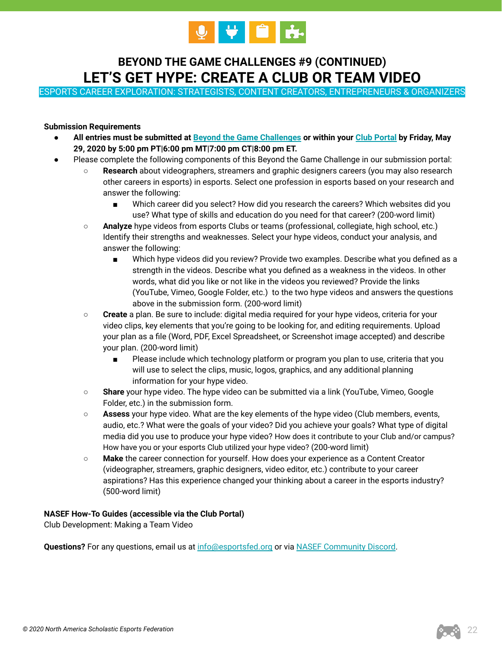

# **BEYOND THE GAME CHALLENGES #9 (CONTINUED) LET'S GET HYPE: CREATE A CLUB OR TEAM VIDEO**

ESPORTS CAREER EXPLORATION: STRATEGISTS, CONTENT CREATORS, ENTREPRENEURS & ORGANIZERS

## **Submission Requirements**

- **All entries must be submitted at [Beyond the Game Challenges](https://www.esportsfed.org/clubs/btg-challenges/) or within your [Club Portal](https://clubs.esportsfed.org/account/login) by Friday, May 29, 2020 by 5:00 pm PT|6:00 pm MT|7:00 pm CT|8:00 pm ET.**
- Please complete the following components of this Beyond the Game Challenge in our submission portal:
	- Research about videographers, streamers and graphic designers careers (you may also research other careers in esports) in esports. Select one profession in esports based on your research and answer the following:
		- Which career did you select? How did you research the careers? Which websites did you use? What type of skills and education do you need for that career? (200-word limit)
	- **Analyze** hype videos from esports Clubs or teams (professional, collegiate, high school, etc.) Identify their strengths and weaknesses. Select your hype videos, conduct your analysis, and answer the following:
		- Which hype videos did you review? Provide two examples. Describe what you defined as a strength in the videos. Describe what you defined as a weakness in the videos. In other words, what did you like or not like in the videos you reviewed? Provide the links (YouTube, Vimeo, Google Folder, etc.) to the two hype videos and answers the questions above in the submission form. (200-word limit)
	- **Create** a plan. Be sure to include: digital media required for your hype videos, criteria for your video clips, key elements that you're going to be looking for, and editing requirements. Upload your plan as a file (Word, PDF, Excel Spreadsheet, or Screenshot image accepted) and describe your plan. (200-word limit)
		- Please include which technology platform or program you plan to use, criteria that you will use to select the clips, music, logos, graphics, and any additional planning information for your hype video.
	- **Share** your hype video. The hype video can be submitted via a link (YouTube, Vimeo, Google Folder, etc.) in the submission form.
	- **Assess** your hype video. What are the key elements of the hype video (Club members, events, audio, etc.? What were the goals of your video? Did you achieve your goals? What type of digital media did you use to produce your hype video? How does it contribute to your Club and/or campus? How have you or your esports Club utilized your hype video? (200-word limit)
	- **Make** the career connection for yourself. How does your experience as a Content Creator (videographer, streamers, graphic designers, video editor, etc.) contribute to your career aspirations? Has this experience changed your thinking about a career in the esports industry? (500-word limit)

## **NASEF How-To Guides (accessible via the Club Portal)**

Club Development: Making a Team Video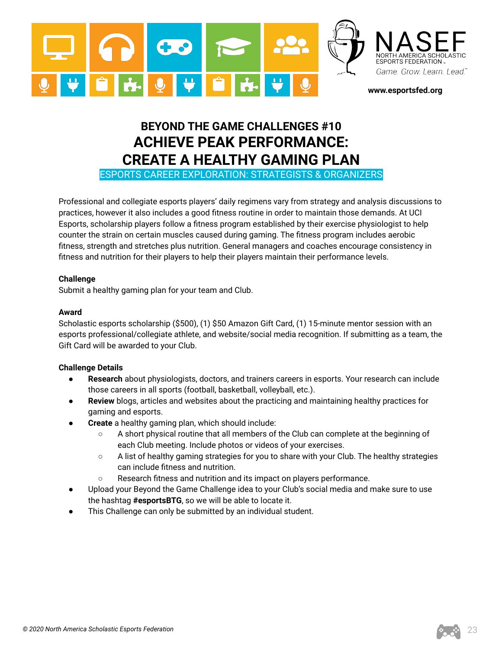

# **BEYOND THE GAME CHALLENGES #10 ACHIEVE PEAK PERFORMANCE: CREATE A HEALTHY GAMING PLAN**

ESPORTS CAREER EXPLORATION: STRATEGISTS & ORGANIZERS

Professional and collegiate esports players' daily regimens vary from strategy and analysis discussions to practices, however it also includes a good fitness routine in order to maintain those demands. At UCI Esports, scholarship players follow a fitness program established by their exercise physiologist to help counter the strain on certain muscles caused during gaming. The fitness program includes aerobic fitness, strength and stretches plus nutrition. General managers and coaches encourage consistency in fitness and nutrition for their players to help their players maintain their performance levels.

# **Challenge**

Submit a healthy gaming plan for your team and Club.

## **Award**

Scholastic esports scholarship (\$500), (1) \$50 Amazon Gift Card, (1) 15-minute mentor session with an esports professional/collegiate athlete, and website/social media recognition. If submitting as a team, the Gift Card will be awarded to your Club.

- **Research** about physiologists, doctors, and trainers careers in esports. Your research can include those careers in all sports (football, basketball, volleyball, etc.).
- Review blogs, articles and websites about the practicing and maintaining healthy practices for gaming and esports.
- **Create** a healthy gaming plan, which should include:
	- A short physical routine that all members of the Club can complete at the beginning of each Club meeting. Include photos or videos of your exercises.
	- $\circ$  A list of healthy gaming strategies for you to share with your Club. The healthy strategies can include fitness and nutrition.
	- Research fitness and nutrition and its impact on players performance.
- Upload your Beyond the Game Challenge idea to your Club's social media and make sure to use the hashtag **#esportsBTG**, so we will be able to locate it.
- This Challenge can only be submitted by an individual student.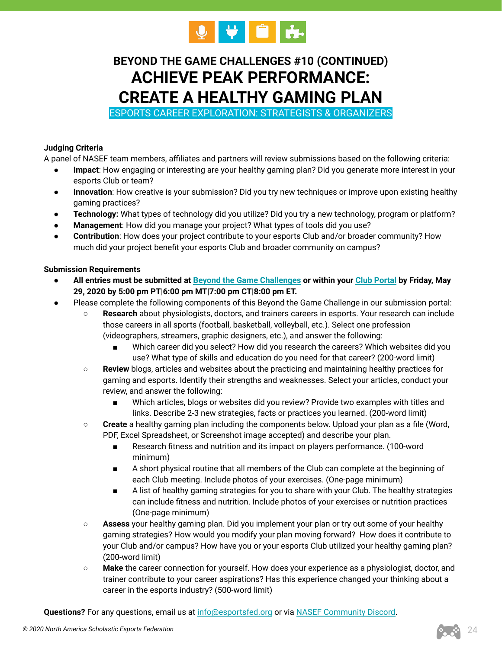

# **BEYOND THE GAME CHALLENGES #10 (CONTINUED) ACHIEVE PEAK PERFORMANCE: CREATE A HEALTHY GAMING PLAN**

ESPORTS CAREER EXPLORATION: STRATEGISTS & ORGANIZERS

# **Judging Criteria**

A panel of NASEF team members, affiliates and partners will review submissions based on the following criteria:

- Impact: How engaging or interesting are your healthy gaming plan? Did you generate more interest in your esports Club or team?
- **Innovation**: How creative is your submission? Did you try new techniques or improve upon existing healthy gaming practices?
- **Technology:** What types of technology did you utilize? Did you try a new technology, program or platform?
- Management: How did you manage your project? What types of tools did you use?
- **Contribution**: How does your project contribute to your esports Club and/or broader community? How much did your project benefit your esports Club and broader community on campus?

## **Submission Requirements**

- **All entries must be submitted at [Beyond the Game Challenges](https://www.esportsfed.org/clubs/btg-challenges/) or within your [Club Portal](https://clubs.esportsfed.org/account/login) by Friday, May 29, 2020 by 5:00 pm PT|6:00 pm MT|7:00 pm CT|8:00 pm ET.**
- Please complete the following components of this Beyond the Game Challenge in our submission portal:
	- **Research** about physiologists, doctors, and trainers careers in esports. Your research can include those careers in all sports (football, basketball, volleyball, etc.). Select one profession (videographers, streamers, graphic designers, etc.), and answer the following:
		- Which career did you select? How did you research the careers? Which websites did you use? What type of skills and education do you need for that career? (200-word limit)
	- **Review** blogs, articles and websites about the practicing and maintaining healthy practices for gaming and esports. Identify their strengths and weaknesses. Select your articles, conduct your review, and answer the following:
		- Which articles, blogs or websites did you review? Provide two examples with titles and links. Describe 2-3 new strategies, facts or practices you learned. (200-word limit)
	- **Create** a healthy gaming plan including the components below. Upload your plan as a file (Word, PDF, Excel Spreadsheet, or Screenshot image accepted) and describe your plan.
		- Research fitness and nutrition and its impact on players performance. (100-word minimum)
		- A short physical routine that all members of the Club can complete at the beginning of each Club meeting. Include photos of your exercises. (One-page minimum)
		- A list of healthy gaming strategies for you to share with your Club. The healthy strategies can include fitness and nutrition. Include photos of your exercises or nutrition practices (One-page minimum)
	- **Assess** your healthy gaming plan. Did you implement your plan or try out some of your healthy gaming strategies? How would you modify your plan moving forward? How does it contribute to your Club and/or campus? How have you or your esports Club utilized your healthy gaming plan? (200-word limit)
	- **Make** the career connection for yourself. How does your experience as a physiologist, doctor, and trainer contribute to your career aspirations? Has this experience changed your thinking about a career in the esports industry? (500-word limit)

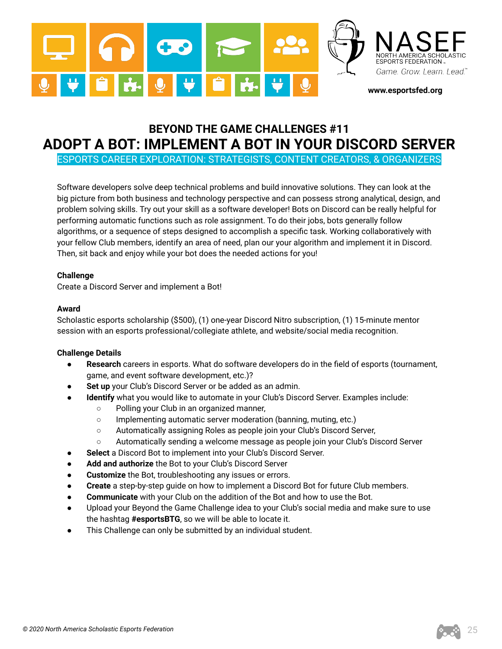

# **BEYOND THE GAME CHALLENGES #11 ADOPT A BOT: IMPLEMENT A BOT IN YOUR DISCORD SERVER**

ESPORTS CAREER EXPLORATION: STRATEGISTS, CONTENT CREATORS, & ORGANIZERS

Software developers solve deep technical problems and build innovative solutions. They can look at the big picture from both business and technology perspective and can possess strong analytical, design, and problem solving skills. Try out your skill as a software developer! Bots on Discord can be really helpful for performing automatic functions such as role assignment. To do their jobs, bots generally follow algorithms, or a sequence of steps designed to accomplish a specific task. Working collaboratively with your fellow Club members, identify an area of need, plan our your algorithm and implement it in Discord. Then, sit back and enjoy while your bot does the needed actions for you!

## **Challenge**

Create a Discord Server and implement a Bot!

#### **Award**

Scholastic esports scholarship (\$500), (1) one-year Discord Nitro subscription, (1) 15-minute mentor session with an esports professional/collegiate athlete, and website/social media recognition.

- Research careers in esports. What do software developers do in the field of esports (tournament, game, and event software development, etc.)?
- Set up your Club's Discord Server or be added as an admin.
- **Identify** what you would like to automate in your Club's Discord Server. Examples include:
	- Polling your Club in an organized manner,
	- Implementing automatic server moderation (banning, muting, etc.)
	- Automatically assigning Roles as people join your Club's Discord Server,
	- Automatically sending a welcome message as people join your Club's Discord Server
- Select a Discord Bot to implement into your Club's Discord Server.
- Add and authorize the Bot to your Club's Discord Server
- **Customize** the Bot, troubleshooting any issues or errors.
- **Create** a step-by-step guide on how to implement a Discord Bot for future Club members.
- **Communicate** with your Club on the addition of the Bot and how to use the Bot.
- Upload your Beyond the Game Challenge idea to your Club's social media and make sure to use the hashtag **#esportsBTG**, so we will be able to locate it.
- This Challenge can only be submitted by an individual student.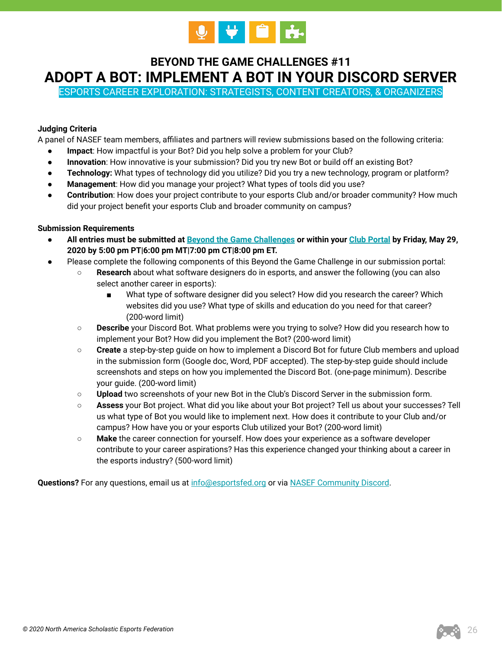

# **BEYOND THE GAME CHALLENGES #11 ADOPT A BOT: IMPLEMENT A BOT IN YOUR DISCORD SERVER**

ESPORTS CAREER EXPLORATION: STRATEGISTS, CONTENT CREATORS, & ORGANIZERS

# **Judging Criteria**

A panel of NASEF team members, affiliates and partners will review submissions based on the following criteria:

- **Impact**: How impactful is your Bot? Did you help solve a problem for your Club?
- **Innovation**: How innovative is your submission? Did you try new Bot or build off an existing Bot?
- **Technology:** What types of technology did you utilize? Did you try a new technology, program or platform?
- **Management**: How did you manage your project? What types of tools did you use?
- **Contribution:** How does your project contribute to your esports Club and/or broader community? How much did your project benefit your esports Club and broader community on campus?

## **Submission Requirements**

- **All entries must be submitted at [Beyond the Game Challenges](https://www.esportsfed.org/clubs/btg-challenges/) or within your [Club Portal](https://clubs.esportsfed.org/account/login) by Friday, May 29, 2020 by 5:00 pm PT|6:00 pm MT|7:00 pm CT|8:00 pm ET.**
- **●** Please complete the following components of this Beyond the Game Challenge in our submission portal:
	- **Research** about what software designers do in esports, and answer the following (you can also select another career in esports):
		- What type of software designer did you select? How did you research the career? Which websites did you use? What type of skills and education do you need for that career? (200-word limit)
	- **Describe** your Discord Bot. What problems were you trying to solve? How did you research how to implement your Bot? How did you implement the Bot? (200-word limit)
	- **Create** a step-by-step guide on how to implement a Discord Bot for future Club members and upload in the submission form (Google doc, Word, PDF accepted). The step-by-step guide should include screenshots and steps on how you implemented the Discord Bot. (one-page minimum). Describe your guide. (200-word limit)
	- **Upload** two screenshots of your new Bot in the Club's Discord Server in the submission form.
	- **Assess** your Bot project. What did you like about your Bot project? Tell us about your successes? Tell us what type of Bot you would like to implement next. How does it contribute to your Club and/or campus? How have you or your esports Club utilized your Bot? (200-word limit)
	- **Make** the career connection for yourself. How does your experience as a software developer contribute to your career aspirations? Has this experience changed your thinking about a career in the esports industry? (500-word limit)

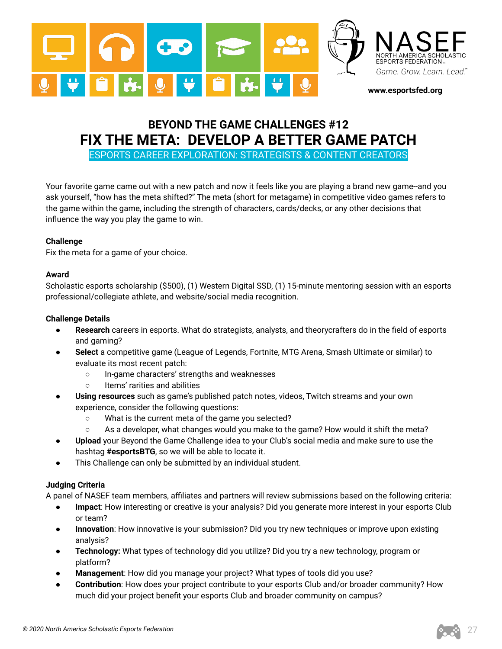

# **BEYOND THE GAME CHALLENGES #12 FIX THE META: DEVELOP A BETTER GAME PATCH**

ESPORTS CAREER EXPLORATION: STRATEGISTS & CONTENT CREATORS

Your favorite game came out with a new patch and now it feels like you are playing a brand new game--and you ask yourself, "how has the meta shifted?" The meta (short for metagame) in competitive video games refers to the game within the game, including the strength of characters, cards/decks, or any other decisions that influence the way you play the game to win.

# **Challenge**

Fix the meta for a game of your choice.

# **Award**

Scholastic esports scholarship (\$500), (1) Western Digital SSD, (1) 15-minute mentoring session with an esports professional/collegiate athlete, and website/social media recognition.

# **Challenge Details**

- **Research** careers in esports. What do strategists, analysts, and theorycrafters do in the field of esports and gaming?
- Select a competitive game (League of Legends, Fortnite, MTG Arena, Smash Ultimate or similar) to evaluate its most recent patch:
	- In-game characters' strengths and weaknesses
	- Items' rarities and abilities
- Using resources such as game's published patch notes, videos, Twitch streams and your own experience, consider the following questions:
	- What is the current meta of the game you selected?
	- $\circ$  As a developer, what changes would you make to the game? How would it shift the meta?
- **Upload** your Beyond the Game Challenge idea to your Club's social media and make sure to use the hashtag **#esportsBTG**, so we will be able to locate it.
- This Challenge can only be submitted by an individual student.

# **Judging Criteria**

A panel of NASEF team members, affiliates and partners will review submissions based on the following criteria:

- Impact: How interesting or creative is your analysis? Did you generate more interest in your esports Club or team?
- **Innovation**: How innovative is your submission? Did you try new techniques or improve upon existing analysis?
- **Technology:** What types of technology did you utilize? Did you try a new technology, program or platform?
- **Management**: How did you manage your project? What types of tools did you use?
- **Contribution**: How does your project contribute to your esports Club and/or broader community? How much did your project benefit your esports Club and broader community on campus?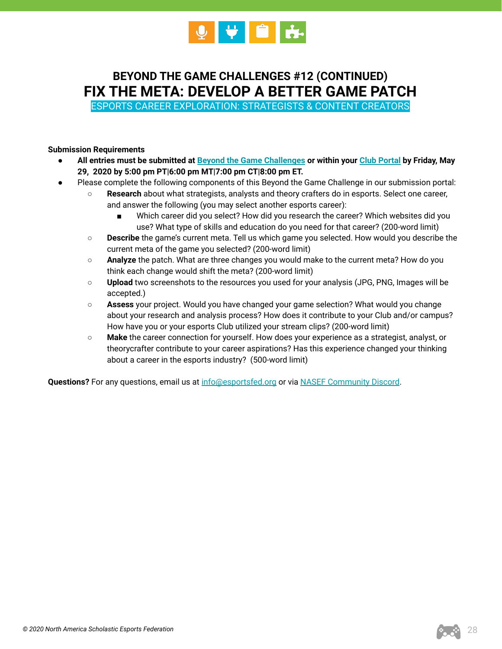

**BEYOND THE GAME CHALLENGES #12 (CONTINUED) FIX THE META: DEVELOP A BETTER GAME PATCH**

ESPORTS CAREER EXPLORATION: STRATEGISTS & CONTENT CREATORS

### **Submission Requirements**

- **All entries must be submitted at [Beyond the Game Challenges](https://www.esportsfed.org/clubs/btg-challenges/) or within your [Club Portal](https://clubs.esportsfed.org/account/login) by Friday, May 29, 2020 by 5:00 pm PT|6:00 pm MT|7:00 pm CT|8:00 pm ET.**
- **●** Please complete the following components of this Beyond the Game Challenge in our submission portal:
	- **Research** about what strategists, analysts and theory crafters do in esports. Select one career, and answer the following (you may select another esports career):
		- Which career did you select? How did you research the career? Which websites did you use? What type of skills and education do you need for that career? (200-word limit)
	- **Describe** the game's current meta. Tell us which game you selected. How would you describe the current meta of the game you selected? (200-word limit)
	- **Analyze** the patch. What are three changes you would make to the current meta? How do you think each change would shift the meta? (200-word limit)
	- **Upload** two screenshots to the resources you used for your analysis (JPG, PNG, Images will be accepted.)
	- **Assess** your project. Would you have changed your game selection? What would you change about your research and analysis process? How does it contribute to your Club and/or campus? How have you or your esports Club utilized your stream clips? (200-word limit)
	- **Make** the career connection for yourself. How does your experience as a strategist, analyst, or theorycrafter contribute to your career aspirations? Has this experience changed your thinking about a career in the esports industry? (500-word limit)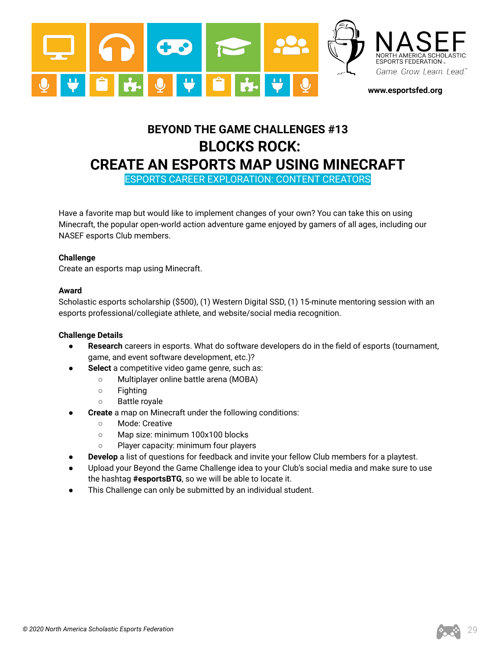

# **BEYOND THE GAME CHALLENGES #13 BLOCKS ROCK: CREATE AN ESPORTS MAP USING MINECRAFT**

ESPORTS CAREER EXPLORATION: CONTENT CREATORS

Have a favorite map but would like to implement changes of your own? You can take this on using Minecraft, the popular open-world action adventure game enjoyed by gamers of all ages, including our NASEF esports Club members.

## **Challenge**

Create an esports map using Minecraft.

# **Award**

Scholastic esports scholarship (\$500), (1) Western Digital SSD, (1) 15-minute mentoring session with an esports professional/collegiate athlete, and website/social media recognition.

- **Research** careers in esports. What do software developers do in the field of esports (tournament, game, and event software development, etc.)?
- Select a competitive video game genre, such as:
	- Multiplayer online battle arena (MOBA)
	- Fighting
	- Battle royale
- **Create** a map on Minecraft under the following conditions:
	- Mode: Creative
	- Map size: minimum 100x100 blocks
	- Player capacity: minimum four players
- **Develop** a list of questions for feedback and invite your fellow Club members for a playtest.
- Upload your Beyond the Game Challenge idea to your Club's social media and make sure to use the hashtag **#esportsBTG**, so we will be able to locate it.
- This Challenge can only be submitted by an individual student.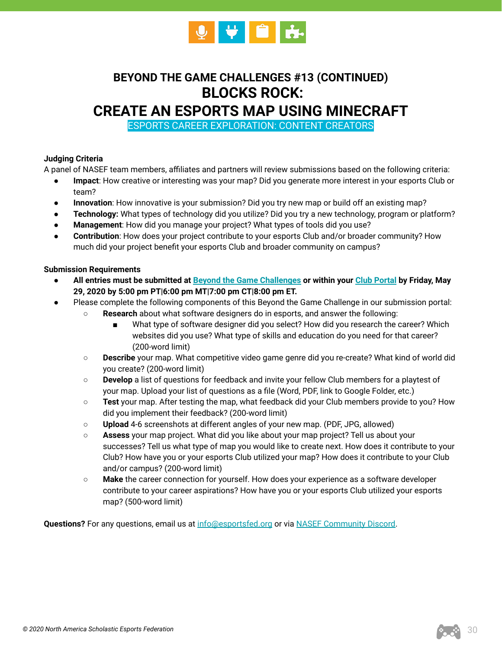

# **BEYOND THE GAME CHALLENGES #13 (CONTINUED) BLOCKS ROCK:**

# **CREATE AN ESPORTS MAP USING MINECRAFT**

ESPORTS CAREER EXPLORATION: CONTENT CREATORS

# **Judging Criteria**

A panel of NASEF team members, affiliates and partners will review submissions based on the following criteria:

- **Impact**: How creative or interesting was your map? Did you generate more interest in your esports Club or team?
- **Innovation**: How innovative is your submission? Did you try new map or build off an existing map?
- **Technology:** What types of technology did you utilize? Did you try a new technology, program or platform?
- Management: How did you manage your project? What types of tools did you use?
- **Contribution**: How does your project contribute to your esports Club and/or broader community? How much did your project benefit your esports Club and broader community on campus?

## **Submission Requirements**

- **All entries must be submitted at [Beyond the Game Challenges](https://www.esportsfed.org/clubs/btg-challenges/) or within your [Club Portal](https://clubs.esportsfed.org/account/login) by Friday, May 29, 2020 by 5:00 pm PT|6:00 pm MT|7:00 pm CT|8:00 pm ET.**
- **●** Please complete the following components of this Beyond the Game Challenge in our submission portal:
	- **Research** about what software designers do in esports, and answer the following:
		- What type of software designer did you select? How did you research the career? Which websites did you use? What type of skills and education do you need for that career? (200-word limit)
	- **Describe** your map. What competitive video game genre did you re-create? What kind of world did you create? (200-word limit)
	- **Develop** a list of questions for feedback and invite your fellow Club members for a playtest of your map. Upload your list of questions as a file (Word, PDF, link to Google Folder, etc.)
	- **Test** your map. After testing the map, what feedback did your Club members provide to you? How did you implement their feedback? (200-word limit)
	- **Upload** 4-6 screenshots at different angles of your new map. (PDF, JPG, allowed)
	- **Assess** your map project. What did you like about your map project? Tell us about your successes? Tell us what type of map you would like to create next. How does it contribute to your Club? How have you or your esports Club utilized your map? How does it contribute to your Club and/or campus? (200-word limit)
	- **Make** the career connection for yourself. How does your experience as a software developer contribute to your career aspirations? How have you or your esports Club utilized your esports map? (500-word limit)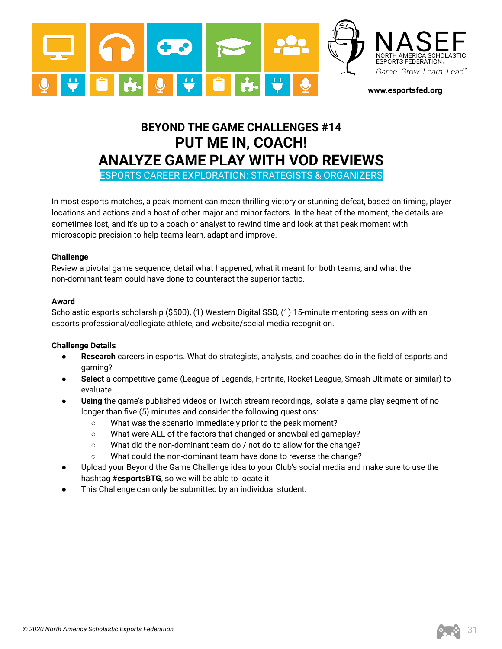

# **BEYOND THE GAME CHALLENGES #14 PUT ME IN, COACH! ANALYZE GAME PLAY WITH VOD REVIEWS**

ESPORTS CAREER EXPLORATION: STRATEGISTS & ORGANIZERS

In most esports matches, a peak moment can mean thrilling victory or stunning defeat, based on timing, player locations and actions and a host of other major and minor factors. In the heat of the moment, the details are sometimes lost, and it's up to a coach or analyst to rewind time and look at that peak moment with microscopic precision to help teams learn, adapt and improve.

## **Challenge**

Review a pivotal game sequence, detail what happened, what it meant for both teams, and what the non-dominant team could have done to counteract the superior tactic.

#### **Award**

Scholastic esports scholarship (\$500), (1) Western Digital SSD, (1) 15-minute mentoring session with an esports professional/collegiate athlete, and website/social media recognition.

- **Research** careers in esports. What do strategists, analysts, and coaches do in the field of esports and gaming?
- **Select** a competitive game (League of Legends, Fortnite, Rocket League, Smash Ultimate or similar) to evaluate.
- Using the game's published videos or Twitch stream recordings, isolate a game play segment of no longer than five (5) minutes and consider the following questions:
	- What was the scenario immediately prior to the peak moment?
	- What were ALL of the factors that changed or snowballed gameplay?
	- What did the non-dominant team do / not do to allow for the change?
	- What could the non-dominant team have done to reverse the change?
- Upload your Beyond the Game Challenge idea to your Club's social media and make sure to use the hashtag **#esportsBTG**, so we will be able to locate it.
- This Challenge can only be submitted by an individual student.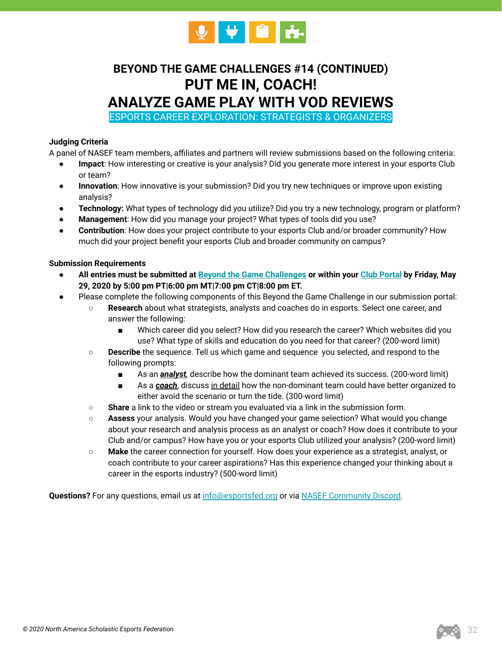

# **BEYOND THE GAME CHALLENGES #14 (CONTINUED) PUT ME IN, COACH! ANALYZE GAME PLAY WITH VOD REVIEWS**

ESPORTS CAREER EXPLORATION: STRATEGISTS & ORGANIZERS

# **Judging Criteria**

A panel of NASEF team members, affiliates and partners will review submissions based on the following criteria:

- **Impact**: How interesting or creative is your analysis? Did you generate more interest in your esports Club or team?
- **Innovation**: How innovative is your submission? Did you try new techniques or improve upon existing analysis?
- **Technology:** What types of technology did you utilize? Did you try a new technology, program or platform?
- **Management**: How did you manage your project? What types of tools did you use?
- **Contribution**: How does your project contribute to your esports Club and/or broader community? How much did your project benefit your esports Club and broader community on campus?

## **Submission Requirements**

- **All entries must be submitted at [Beyond the Game Challenges](https://www.esportsfed.org/clubs/btg-challenges/) or within your [Club Portal](https://clubs.esportsfed.org/account/login) by Friday, May 29, 2020 by 5:00 pm PT|6:00 pm MT|7:00 pm CT|8:00 pm ET.**
- Please complete the following components of this Beyond the Game Challenge in our submission portal:
	- **Research** about what strategists, analysts and coaches do in esports. Select one career, and answer the following:
		- Which career did you select? How did you research the career? Which websites did you use? What type of skills and education do you need for that career? (200-word limit)
	- **Describe** the sequence. Tell us which game and sequence you selected, and respond to the following prompts:
		- As an *analyst,* describe how the dominant team achieved its success. (200-word limit)
		- As a *coach*, discuss in detail how the non-dominant team could have better organized to either avoid the scenario or turn the tide. (300-word limit)
	- **Share** a link to the video or stream you evaluated via a link in the submission form.
	- **Assess** your analysis. Would you have changed your game selection? What would you change about your research and analysis process as an analyst or coach? How does it contribute to your Club and/or campus? How have you or your esports Club utilized your analysis? (200-word limit)
	- **Make** the career connection for yourself. How does your experience as a strategist, analyst, or coach contribute to your career aspirations? Has this experience changed your thinking about a career in the esports industry? (500-word limit)

Questions? For any questions, email us at [info@esportsfed.org](mailto:info@esportsfed.org) or via [NASEF Community Discord.](https://discordapp.com/invite/uyqkA2d)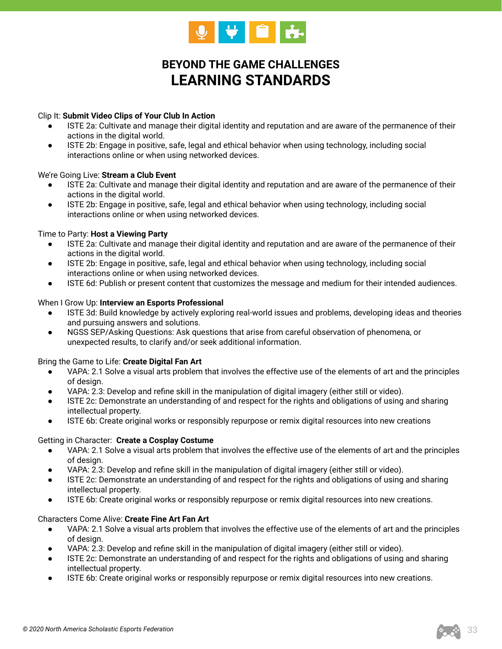

# **BEYOND THE GAME CHALLENGES LEARNING STANDARDS**

## Clip It: **Submit Video Clips of Your Club In Action**

- ISTE 2a: Cultivate and manage their digital identity and reputation and are aware of the permanence of their actions in the digital world.
- ISTE 2b: Engage in positive, safe, legal and ethical behavior when using technology, including social interactions online or when using networked devices.

#### We're Going Live: **Stream a Club Event**

- ISTE 2a: Cultivate and manage their digital identity and reputation and are aware of the permanence of their actions in the digital world.
- ISTE 2b: Engage in positive, safe, legal and ethical behavior when using technology, including social interactions online or when using networked devices.

#### Time to Party: **Host a Viewing Party**

- ISTE 2a: Cultivate and manage their digital identity and reputation and are aware of the permanence of their actions in the digital world.
- ISTE 2b: Engage in positive, safe, legal and ethical behavior when using technology, including social interactions online or when using networked devices.
- ISTE 6d: Publish or present content that customizes the message and medium for their intended audiences.

#### When I Grow Up: **Interview an Esports Professional**

- ISTE 3d: Build knowledge by actively exploring real-world issues and problems, developing ideas and theories and pursuing answers and solutions.
- NGSS SEP/Asking Questions: Ask questions that arise from careful observation of phenomena, or unexpected results, to clarify and/or seek additional information.

#### Bring the Game to Life: **Create Digital Fan Art**

- VAPA: 2.1 Solve a visual arts problem that involves the effective use of the elements of art and the principles of design.
- VAPA: 2.3: Develop and refine skill in the manipulation of digital imagery (either still or video).
- ISTE 2c: Demonstrate an understanding of and respect for the rights and obligations of using and sharing intellectual property.
- ISTE 6b: Create original works or responsibly repurpose or remix digital resources into new creations

#### Getting in Character: **Create a Cosplay Costume**

- VAPA: 2.1 Solve a visual arts problem that involves the effective use of the elements of art and the principles of design.
- VAPA: 2.3: Develop and refine skill in the manipulation of digital imagery (either still or video).
- ISTE 2c: Demonstrate an understanding of and respect for the rights and obligations of using and sharing intellectual property.
- ISTE 6b: Create original works or responsibly repurpose or remix digital resources into new creations.

#### Characters Come Alive: **Create Fine Art Fan Art**

- VAPA: 2.1 Solve a visual arts problem that involves the effective use of the elements of art and the principles of design.
- VAPA: 2.3: Develop and refine skill in the manipulation of digital imagery (either still or video).
- ISTE 2c: Demonstrate an understanding of and respect for the rights and obligations of using and sharing intellectual property.
- ISTE 6b: Create original works or responsibly repurpose or remix digital resources into new creations.